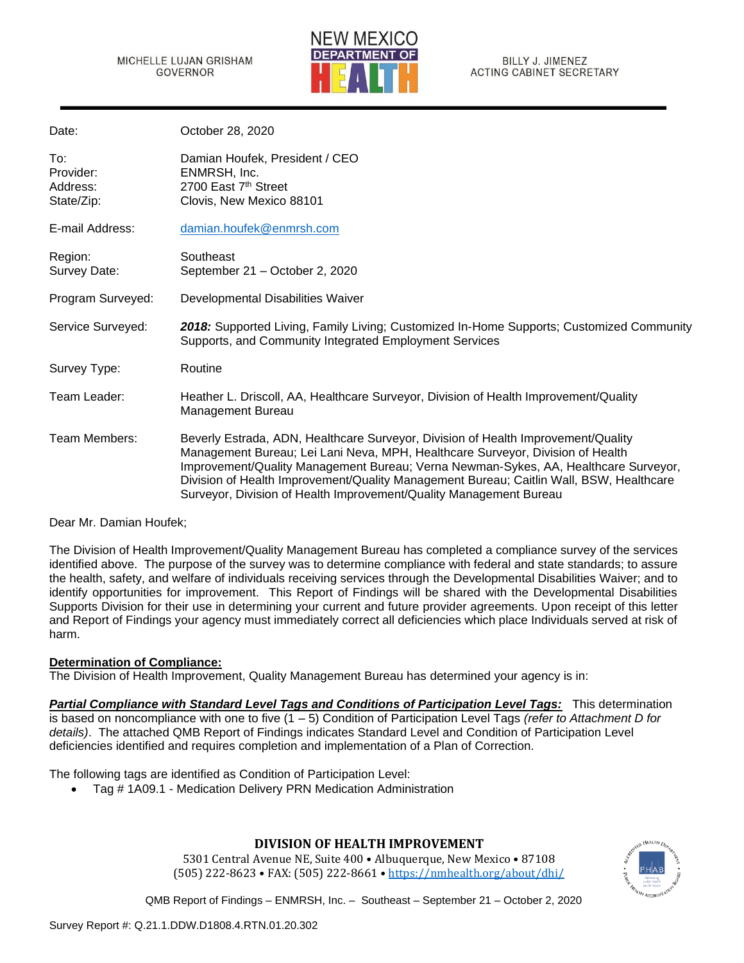

BILLY J. JIMENEZ ACTING CABINET SECRETARY

| Date:                                      | October 28, 2020                                                                                                                                                                                                                                                                                                                                                                                                            |
|--------------------------------------------|-----------------------------------------------------------------------------------------------------------------------------------------------------------------------------------------------------------------------------------------------------------------------------------------------------------------------------------------------------------------------------------------------------------------------------|
| To:<br>Provider:<br>Address:<br>State/Zip: | Damian Houfek, President / CEO<br>ENMRSH, Inc.<br>2700 East 7th Street<br>Clovis, New Mexico 88101                                                                                                                                                                                                                                                                                                                          |
| E-mail Address:                            | damian.houfek@enmrsh.com                                                                                                                                                                                                                                                                                                                                                                                                    |
| Region:<br>Survey Date:                    | Southeast<br>September 21 - October 2, 2020                                                                                                                                                                                                                                                                                                                                                                                 |
| Program Surveyed:                          | Developmental Disabilities Waiver                                                                                                                                                                                                                                                                                                                                                                                           |
| Service Surveyed:                          | 2018: Supported Living, Family Living; Customized In-Home Supports; Customized Community<br>Supports, and Community Integrated Employment Services                                                                                                                                                                                                                                                                          |
| Survey Type:                               | Routine                                                                                                                                                                                                                                                                                                                                                                                                                     |
| Team Leader:                               | Heather L. Driscoll, AA, Healthcare Surveyor, Division of Health Improvement/Quality<br><b>Management Bureau</b>                                                                                                                                                                                                                                                                                                            |
| Team Members:                              | Beverly Estrada, ADN, Healthcare Surveyor, Division of Health Improvement/Quality<br>Management Bureau; Lei Lani Neva, MPH, Healthcare Surveyor, Division of Health<br>Improvement/Quality Management Bureau; Verna Newman-Sykes, AA, Healthcare Surveyor,<br>Division of Health Improvement/Quality Management Bureau; Caitlin Wall, BSW, Healthcare<br>Surveyor, Division of Health Improvement/Quality Management Bureau |

Dear Mr. Damian Houfek;

The Division of Health Improvement/Quality Management Bureau has completed a compliance survey of the services identified above. The purpose of the survey was to determine compliance with federal and state standards; to assure the health, safety, and welfare of individuals receiving services through the Developmental Disabilities Waiver; and to identify opportunities for improvement. This Report of Findings will be shared with the Developmental Disabilities Supports Division for their use in determining your current and future provider agreements. Upon receipt of this letter and Report of Findings your agency must immediately correct all deficiencies which place Individuals served at risk of harm.

## **Determination of Compliance:**

The Division of Health Improvement, Quality Management Bureau has determined your agency is in:

*Partial Compliance with Standard Level Tags and Conditions of Participation Level Tags:* This determination is based on noncompliance with one to five (1 – 5) Condition of Participation Level Tags *(refer to Attachment D for details)*. The attached QMB Report of Findings indicates Standard Level and Condition of Participation Level deficiencies identified and requires completion and implementation of a Plan of Correction.

The following tags are identified as Condition of Participation Level:

• Tag # 1A09.1 - Medication Delivery PRN Medication Administration



5301 Central Avenue NE, Suite 400 • Albuquerque, New Mexico • 87108 (505) 222-8623 • FAX: (505) 222-8661 • [https://nmhealth.org/about/dhi/](https://nmhealth.org/about/dhi/i)

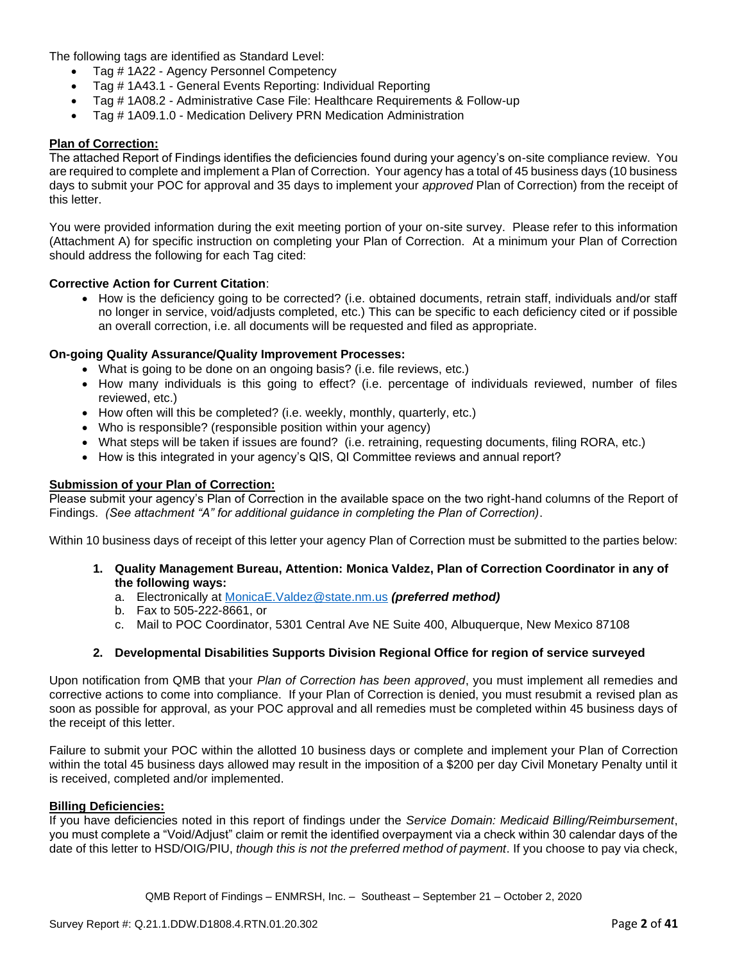The following tags are identified as Standard Level:

- Tag # 1A22 Agency Personnel Competency
- Tag # 1A43.1 General Events Reporting: Individual Reporting
- Tag # 1A08.2 Administrative Case File: Healthcare Requirements & Follow-up
- Tag # 1A09.1.0 Medication Delivery PRN Medication Administration

### **Plan of Correction:**

The attached Report of Findings identifies the deficiencies found during your agency's on-site compliance review. You are required to complete and implement a Plan of Correction. Your agency has a total of 45 business days (10 business days to submit your POC for approval and 35 days to implement your *approved* Plan of Correction) from the receipt of this letter.

You were provided information during the exit meeting portion of your on-site survey. Please refer to this information (Attachment A) for specific instruction on completing your Plan of Correction. At a minimum your Plan of Correction should address the following for each Tag cited:

### **Corrective Action for Current Citation**:

• How is the deficiency going to be corrected? (i.e. obtained documents, retrain staff, individuals and/or staff no longer in service, void/adjusts completed, etc.) This can be specific to each deficiency cited or if possible an overall correction, i.e. all documents will be requested and filed as appropriate.

### **On-going Quality Assurance/Quality Improvement Processes:**

- What is going to be done on an ongoing basis? (i.e. file reviews, etc.)
- How many individuals is this going to effect? (i.e. percentage of individuals reviewed, number of files reviewed, etc.)
- How often will this be completed? (i.e. weekly, monthly, quarterly, etc.)
- Who is responsible? (responsible position within your agency)
- What steps will be taken if issues are found? (i.e. retraining, requesting documents, filing RORA, etc.)
- How is this integrated in your agency's QIS, QI Committee reviews and annual report?

#### **Submission of your Plan of Correction:**

Please submit your agency's Plan of Correction in the available space on the two right-hand columns of the Report of Findings. *(See attachment "A" for additional guidance in completing the Plan of Correction)*.

Within 10 business days of receipt of this letter your agency Plan of Correction must be submitted to the parties below:

- **1. Quality Management Bureau, Attention: Monica Valdez, Plan of Correction Coordinator in any of the following ways:**
	- a. Electronically at [MonicaE.Valdez@state.nm.us](mailto:MonicaE.Valdez@state.nm.us) *(preferred method)*
	- b. Fax to 505-222-8661, or
	- c. Mail to POC Coordinator, 5301 Central Ave NE Suite 400, Albuquerque, New Mexico 87108

## **2. Developmental Disabilities Supports Division Regional Office for region of service surveyed**

Upon notification from QMB that your *Plan of Correction has been approved*, you must implement all remedies and corrective actions to come into compliance. If your Plan of Correction is denied, you must resubmit a revised plan as soon as possible for approval, as your POC approval and all remedies must be completed within 45 business days of the receipt of this letter.

Failure to submit your POC within the allotted 10 business days or complete and implement your Plan of Correction within the total 45 business days allowed may result in the imposition of a \$200 per day Civil Monetary Penalty until it is received, completed and/or implemented.

## **Billing Deficiencies:**

If you have deficiencies noted in this report of findings under the *Service Domain: Medicaid Billing/Reimbursement*, you must complete a "Void/Adjust" claim or remit the identified overpayment via a check within 30 calendar days of the date of this letter to HSD/OIG/PIU, *though this is not the preferred method of payment*. If you choose to pay via check,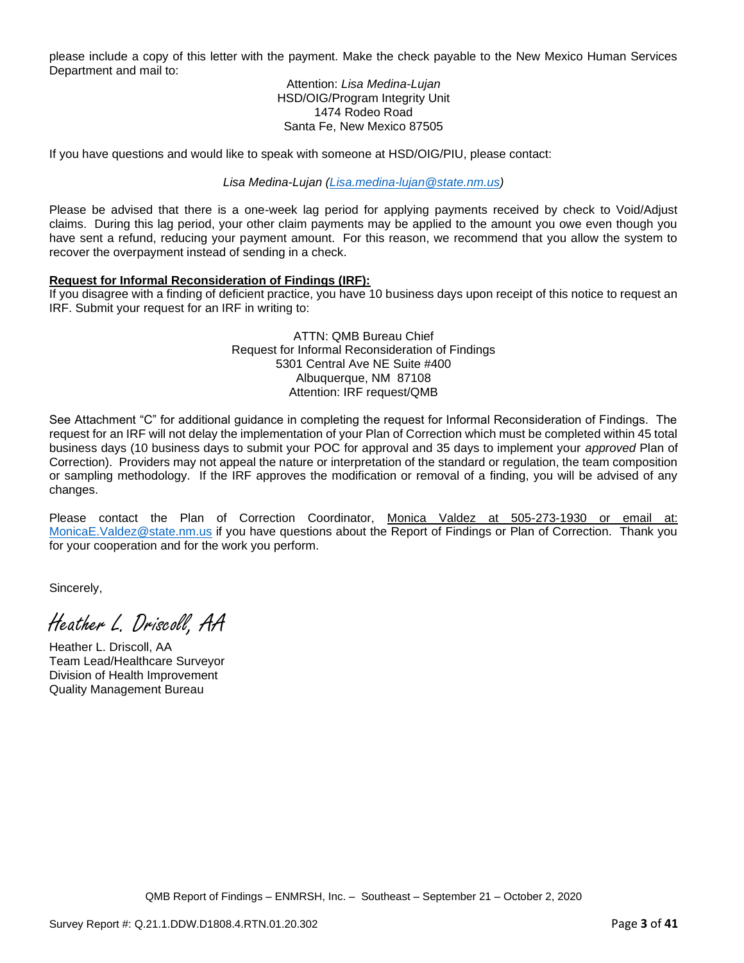please include a copy of this letter with the payment. Make the check payable to the New Mexico Human Services Department and mail to:

> Attention: *Lisa Medina-Lujan* HSD/OIG/Program Integrity Unit 1474 Rodeo Road Santa Fe, New Mexico 87505

If you have questions and would like to speak with someone at HSD/OIG/PIU, please contact:

*Lisa Medina-Lujan [\(Lisa.medina-lujan@state.nm.us\)](mailto:Lisa.medina-lujan@state.nm.us)*

Please be advised that there is a one-week lag period for applying payments received by check to Void/Adjust claims. During this lag period, your other claim payments may be applied to the amount you owe even though you have sent a refund, reducing your payment amount. For this reason, we recommend that you allow the system to recover the overpayment instead of sending in a check.

## **Request for Informal Reconsideration of Findings (IRF):**

If you disagree with a finding of deficient practice, you have 10 business days upon receipt of this notice to request an IRF. Submit your request for an IRF in writing to:

> ATTN: QMB Bureau Chief Request for Informal Reconsideration of Findings 5301 Central Ave NE Suite #400 Albuquerque, NM 87108 Attention: IRF request/QMB

See Attachment "C" for additional guidance in completing the request for Informal Reconsideration of Findings. The request for an IRF will not delay the implementation of your Plan of Correction which must be completed within 45 total business days (10 business days to submit your POC for approval and 35 days to implement your *approved* Plan of Correction). Providers may not appeal the nature or interpretation of the standard or regulation, the team composition or sampling methodology. If the IRF approves the modification or removal of a finding, you will be advised of any changes.

Please contact the Plan of Correction Coordinator, Monica Valdez at 505-273-1930 or email at: [MonicaE.Valdez@state.nm.us](mailto:MonicaE.Valdez@state.nm.us) if you have questions about the Report of Findings or Plan of Correction. Thank you for your cooperation and for the work you perform.

Sincerely,

Heather L. Driscoll, AA

Heather L. Driscoll, AA Team Lead/Healthcare Surveyor Division of Health Improvement Quality Management Bureau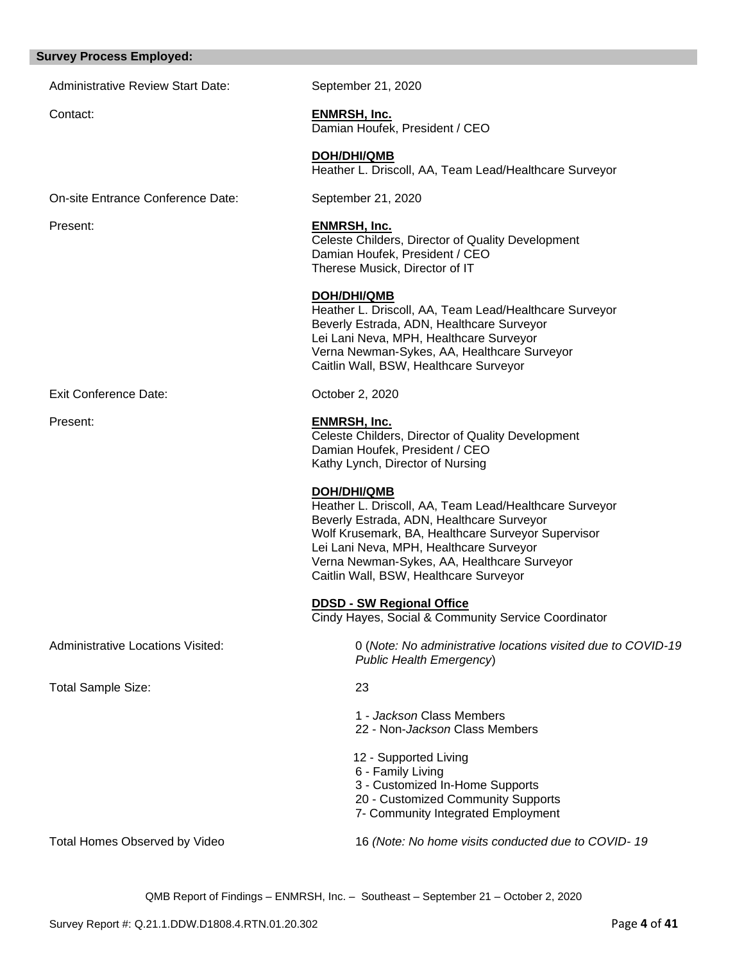#### **Survey Process Employed:**

Administrative Review Start Date: September 21, 2020

# Contact: **ENMRSH, Inc.**

Damian Houfek, President / CEO

**DOH/DHI/QMB** Heather L. Driscoll, AA, Team Lead/Healthcare Surveyor

On-site Entrance Conference Date: September 21, 2020

## Present: **ENMRSH, Inc.**

Celeste Childers, Director of Quality Development Damian Houfek, President / CEO Therese Musick, Director of IT

### **DOH/DHI/QMB**

Heather L. Driscoll, AA, Team Lead/Healthcare Surveyor Beverly Estrada, ADN, Healthcare Surveyor Lei Lani Neva, MPH, Healthcare Surveyor Verna Newman-Sykes, AA, Healthcare Surveyor Caitlin Wall, BSW, Healthcare Surveyor

Exit Conference Date: Conference Date: Conference Date:

## Present: **ENMRSH, Inc.**

Celeste Childers, Director of Quality Development Damian Houfek, President / CEO Kathy Lynch, Director of Nursing

## **DOH/DHI/QMB**

Heather L. Driscoll, AA, Team Lead/Healthcare Surveyor Beverly Estrada, ADN, Healthcare Surveyor Wolf Krusemark, BA, Healthcare Surveyor Supervisor Lei Lani Neva, MPH, Healthcare Surveyor Verna Newman-Sykes, AA, Healthcare Surveyor Caitlin Wall, BSW, Healthcare Surveyor

## **DDSD - SW Regional Office**

Cindy Hayes, Social & Community Service Coordinator

Administrative Locations Visited: 0 (*Note: No administrative locations visited due to COVID-19 Public Health Emergency*)

Total Sample Size: 23

- 1 *Jackson* Class Members 22 - Non-*Jackson* Class Members
- 12 Supported Living
- 6 Family Living
- 3 Customized In-Home Supports
- 20 Customized Community Supports
- 7- Community Integrated Employment

Total Homes Observed by Video 16 *(Note: No home visits conducted due to COVID- 19*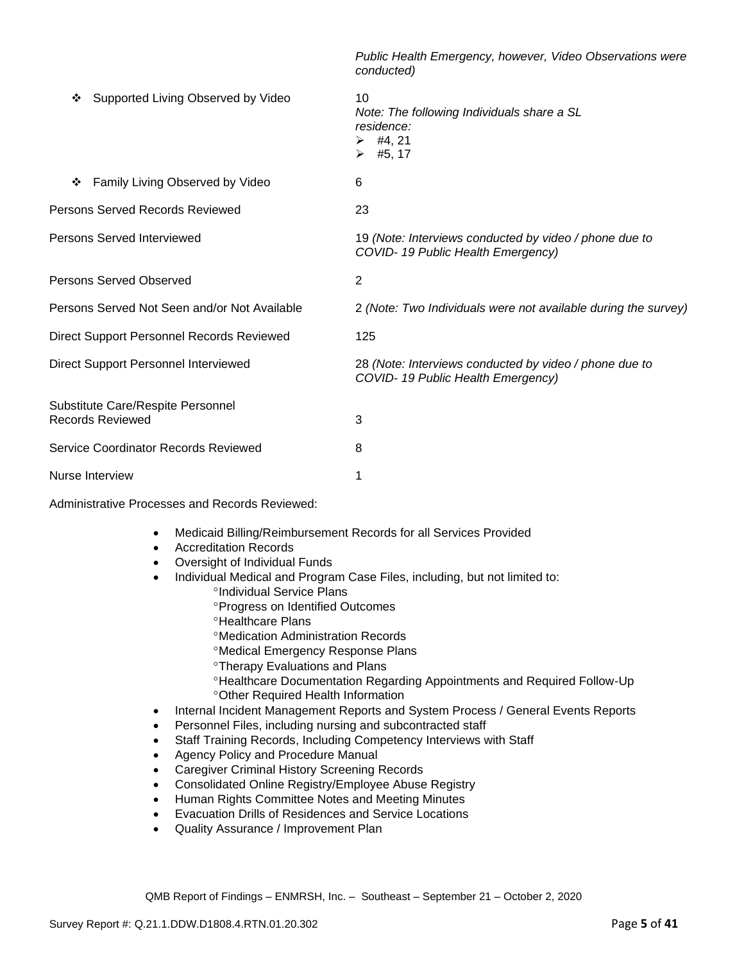*Public Health Emergency, however, Video Observations were conducted)* ❖ Supported Living Observed by Video 10 *Note: The following Individuals share a SL residence:*  $\geq$  #4, 21  $\geq$  #5, 17 ❖ Family Living Observed by Video 6 Persons Served Records Reviewed 23 Persons Served Interviewed 19 *(Note: Interviews conducted by video / phone due to COVID- 19 Public Health Emergency)* Persons Served Observed 2 Persons Served Not Seen and/or Not Available 2 *(Note: Two Individuals were not available during the survey)* Direct Support Personnel Records Reviewed 125 Direct Support Personnel Interviewed 28 *(Note: Interviews conducted by video / phone due to COVID- 19 Public Health Emergency)* Substitute Care/Respite Personnel Records Reviewed 3 Service Coordinator Records Reviewed 8 Nurse Interview 1

Administrative Processes and Records Reviewed:

- Medicaid Billing/Reimbursement Records for all Services Provided
- Accreditation Records
- Oversight of Individual Funds
- Individual Medical and Program Case Files, including, but not limited to:
	- <sup>o</sup>Individual Service Plans
		- Progress on Identified Outcomes
		- **<sup>o</sup>Healthcare Plans**
		- Medication Administration Records
		- Medical Emergency Response Plans
		- Therapy Evaluations and Plans
		- Healthcare Documentation Regarding Appointments and Required Follow-Up Other Required Health Information
- Internal Incident Management Reports and System Process / General Events Reports
- Personnel Files, including nursing and subcontracted staff
- Staff Training Records, Including Competency Interviews with Staff
- Agency Policy and Procedure Manual
- Caregiver Criminal History Screening Records
- Consolidated Online Registry/Employee Abuse Registry
- Human Rights Committee Notes and Meeting Minutes
- Evacuation Drills of Residences and Service Locations
- Quality Assurance / Improvement Plan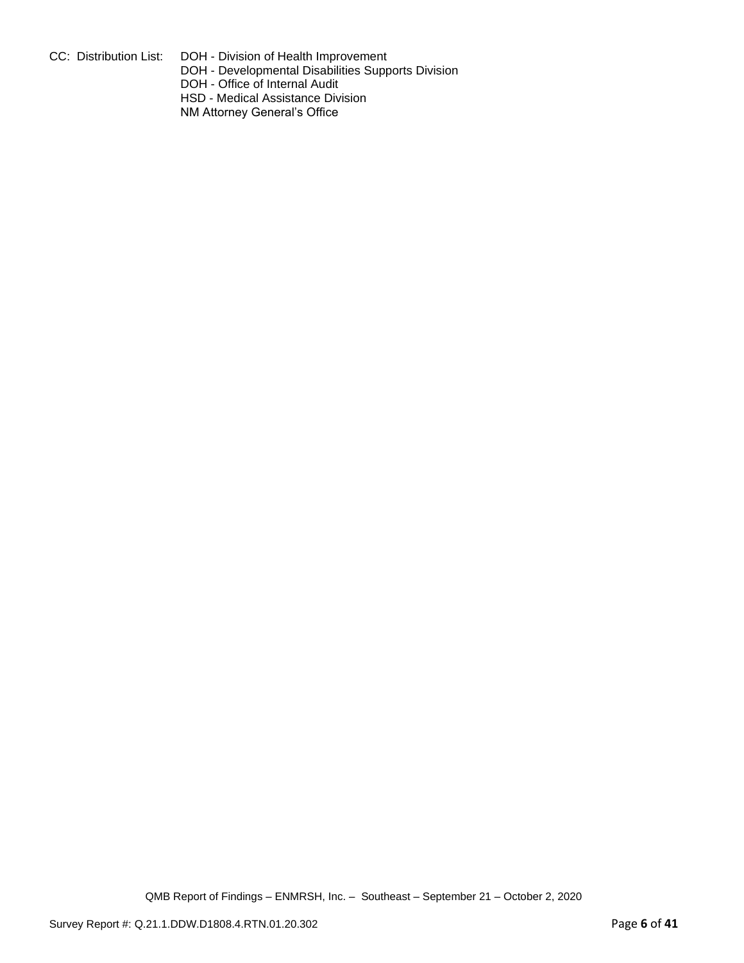CC: Distribution List: DOH - Division of Health Improvement

DOH - Developmental Disabilities Supports Division

DOH - Office of Internal Audit

HSD - Medical Assistance Division

NM Attorney General's Office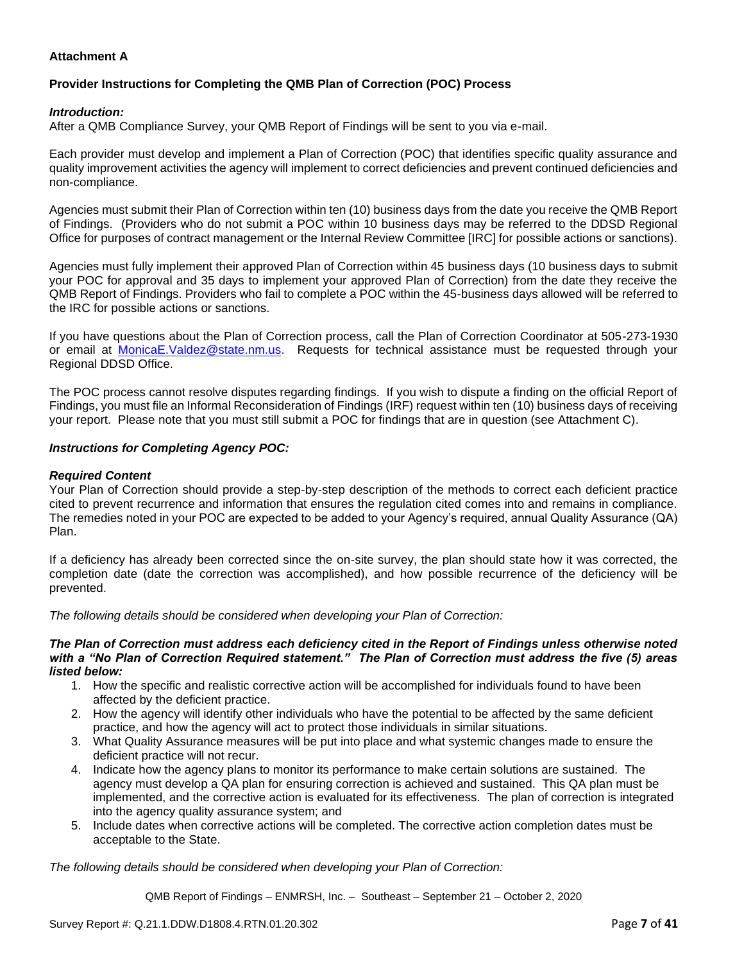## **Attachment A**

# **Provider Instructions for Completing the QMB Plan of Correction (POC) Process**

#### *Introduction:*

After a QMB Compliance Survey, your QMB Report of Findings will be sent to you via e-mail.

Each provider must develop and implement a Plan of Correction (POC) that identifies specific quality assurance and quality improvement activities the agency will implement to correct deficiencies and prevent continued deficiencies and non-compliance.

Agencies must submit their Plan of Correction within ten (10) business days from the date you receive the QMB Report of Findings. (Providers who do not submit a POC within 10 business days may be referred to the DDSD Regional Office for purposes of contract management or the Internal Review Committee [IRC] for possible actions or sanctions).

Agencies must fully implement their approved Plan of Correction within 45 business days (10 business days to submit your POC for approval and 35 days to implement your approved Plan of Correction) from the date they receive the QMB Report of Findings. Providers who fail to complete a POC within the 45-business days allowed will be referred to the IRC for possible actions or sanctions.

If you have questions about the Plan of Correction process, call the Plan of Correction Coordinator at 505-273-1930 or email at [MonicaE.Valdez@state.nm.us.](mailto:MonicaE.Valdez@state.nm.us) Requests for technical assistance must be requested through your Regional DDSD Office.

The POC process cannot resolve disputes regarding findings. If you wish to dispute a finding on the official Report of Findings, you must file an Informal Reconsideration of Findings (IRF) request within ten (10) business days of receiving your report. Please note that you must still submit a POC for findings that are in question (see Attachment C).

#### *Instructions for Completing Agency POC:*

#### *Required Content*

Your Plan of Correction should provide a step-by-step description of the methods to correct each deficient practice cited to prevent recurrence and information that ensures the regulation cited comes into and remains in compliance. The remedies noted in your POC are expected to be added to your Agency's required, annual Quality Assurance (QA) Plan.

If a deficiency has already been corrected since the on-site survey, the plan should state how it was corrected, the completion date (date the correction was accomplished), and how possible recurrence of the deficiency will be prevented.

*The following details should be considered when developing your Plan of Correction:*

#### *The Plan of Correction must address each deficiency cited in the Report of Findings unless otherwise noted with a "No Plan of Correction Required statement." The Plan of Correction must address the five (5) areas listed below:*

- 1. How the specific and realistic corrective action will be accomplished for individuals found to have been affected by the deficient practice.
- 2. How the agency will identify other individuals who have the potential to be affected by the same deficient practice, and how the agency will act to protect those individuals in similar situations.
- 3. What Quality Assurance measures will be put into place and what systemic changes made to ensure the deficient practice will not recur.
- 4. Indicate how the agency plans to monitor its performance to make certain solutions are sustained. The agency must develop a QA plan for ensuring correction is achieved and sustained. This QA plan must be implemented, and the corrective action is evaluated for its effectiveness. The plan of correction is integrated into the agency quality assurance system; and
- 5. Include dates when corrective actions will be completed. The corrective action completion dates must be acceptable to the State.

*The following details should be considered when developing your Plan of Correction:*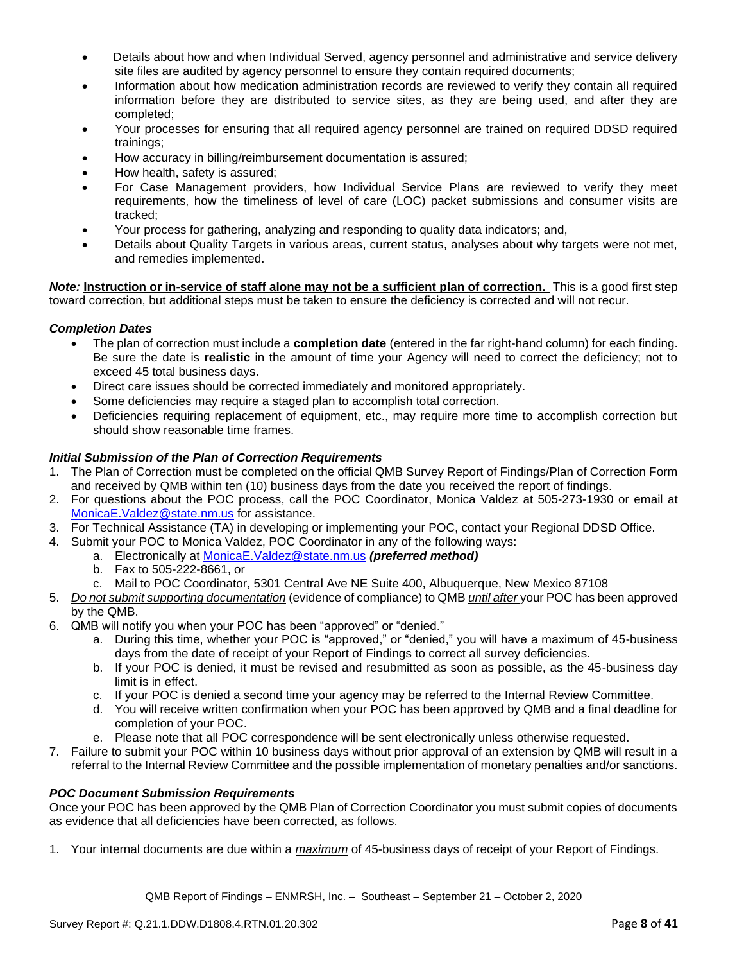- Details about how and when Individual Served, agency personnel and administrative and service delivery site files are audited by agency personnel to ensure they contain required documents;
- Information about how medication administration records are reviewed to verify they contain all required information before they are distributed to service sites, as they are being used, and after they are completed;
- Your processes for ensuring that all required agency personnel are trained on required DDSD required trainings;
- How accuracy in billing/reimbursement documentation is assured;
- How health, safety is assured;
- For Case Management providers, how Individual Service Plans are reviewed to verify they meet requirements, how the timeliness of level of care (LOC) packet submissions and consumer visits are tracked;
- Your process for gathering, analyzing and responding to quality data indicators; and,
- Details about Quality Targets in various areas, current status, analyses about why targets were not met, and remedies implemented.

*Note:* **Instruction or in-service of staff alone may not be a sufficient plan of correction.** This is a good first step toward correction, but additional steps must be taken to ensure the deficiency is corrected and will not recur.

### *Completion Dates*

- The plan of correction must include a **completion date** (entered in the far right-hand column) for each finding. Be sure the date is **realistic** in the amount of time your Agency will need to correct the deficiency; not to exceed 45 total business days.
- Direct care issues should be corrected immediately and monitored appropriately.
- Some deficiencies may require a staged plan to accomplish total correction.
- Deficiencies requiring replacement of equipment, etc., may require more time to accomplish correction but should show reasonable time frames.

### *Initial Submission of the Plan of Correction Requirements*

- 1. The Plan of Correction must be completed on the official QMB Survey Report of Findings/Plan of Correction Form and received by QMB within ten (10) business days from the date you received the report of findings.
- 2. For questions about the POC process, call the POC Coordinator, Monica Valdez at 505-273-1930 or email at [MonicaE.Valdez@state.nm.us](mailto:MonicaE.Valdez@state.nm.us) for assistance.
- 3. For Technical Assistance (TA) in developing or implementing your POC, contact your Regional DDSD Office.
- 4. Submit your POC to Monica Valdez, POC Coordinator in any of the following ways:
	- a. Electronically at [MonicaE.Valdez@state.nm.us](mailto:MonicaE.Valdez@state.nm.us) *(preferred method)*
		- b. Fax to 505-222-8661, or
		- c. Mail to POC Coordinator, 5301 Central Ave NE Suite 400, Albuquerque, New Mexico 87108
- 5. *Do not submit supporting documentation* (evidence of compliance) to QMB *until after* your POC has been approved by the QMB.
- 6. QMB will notify you when your POC has been "approved" or "denied."
	- a. During this time, whether your POC is "approved," or "denied," you will have a maximum of 45-business days from the date of receipt of your Report of Findings to correct all survey deficiencies.
	- b. If your POC is denied, it must be revised and resubmitted as soon as possible, as the 45-business day limit is in effect.
	- c. If your POC is denied a second time your agency may be referred to the Internal Review Committee.
	- d. You will receive written confirmation when your POC has been approved by QMB and a final deadline for completion of your POC.
	- e. Please note that all POC correspondence will be sent electronically unless otherwise requested.
- 7. Failure to submit your POC within 10 business days without prior approval of an extension by QMB will result in a referral to the Internal Review Committee and the possible implementation of monetary penalties and/or sanctions.

#### *POC Document Submission Requirements*

Once your POC has been approved by the QMB Plan of Correction Coordinator you must submit copies of documents as evidence that all deficiencies have been corrected, as follows.

1. Your internal documents are due within a *maximum* of 45-business days of receipt of your Report of Findings.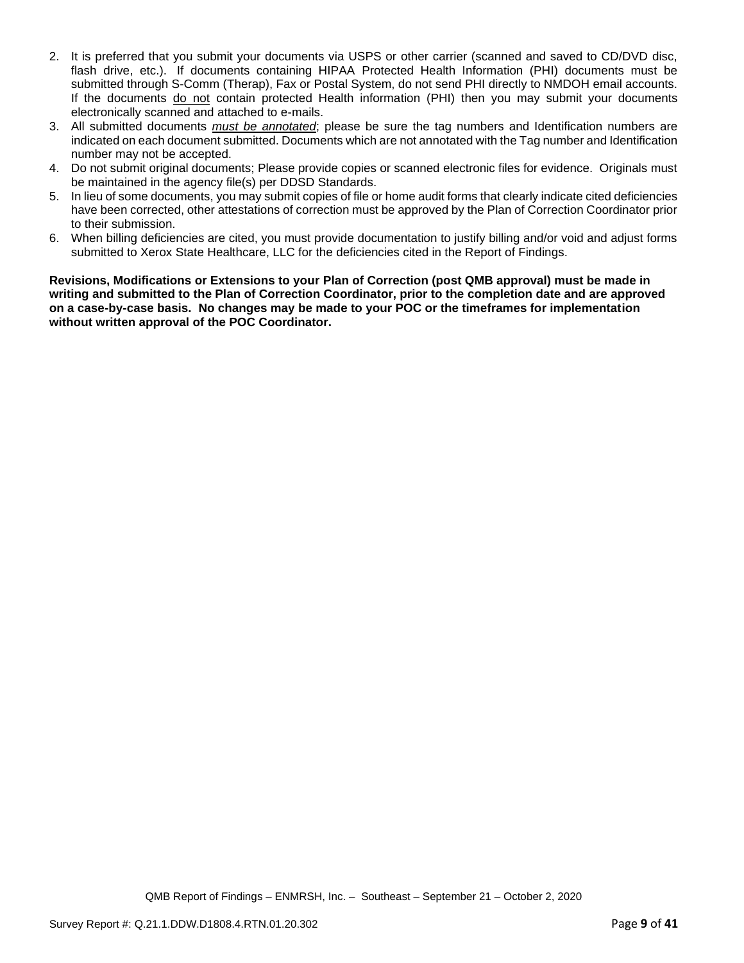- 2. It is preferred that you submit your documents via USPS or other carrier (scanned and saved to CD/DVD disc, flash drive, etc.). If documents containing HIPAA Protected Health Information (PHI) documents must be submitted through S-Comm (Therap), Fax or Postal System, do not send PHI directly to NMDOH email accounts. If the documents do not contain protected Health information (PHI) then you may submit your documents electronically scanned and attached to e-mails.
- 3. All submitted documents *must be annotated*; please be sure the tag numbers and Identification numbers are indicated on each document submitted. Documents which are not annotated with the Tag number and Identification number may not be accepted.
- 4. Do not submit original documents; Please provide copies or scanned electronic files for evidence. Originals must be maintained in the agency file(s) per DDSD Standards.
- 5. In lieu of some documents, you may submit copies of file or home audit forms that clearly indicate cited deficiencies have been corrected, other attestations of correction must be approved by the Plan of Correction Coordinator prior to their submission.
- 6. When billing deficiencies are cited, you must provide documentation to justify billing and/or void and adjust forms submitted to Xerox State Healthcare, LLC for the deficiencies cited in the Report of Findings.

**Revisions, Modifications or Extensions to your Plan of Correction (post QMB approval) must be made in writing and submitted to the Plan of Correction Coordinator, prior to the completion date and are approved on a case-by-case basis. No changes may be made to your POC or the timeframes for implementation without written approval of the POC Coordinator.**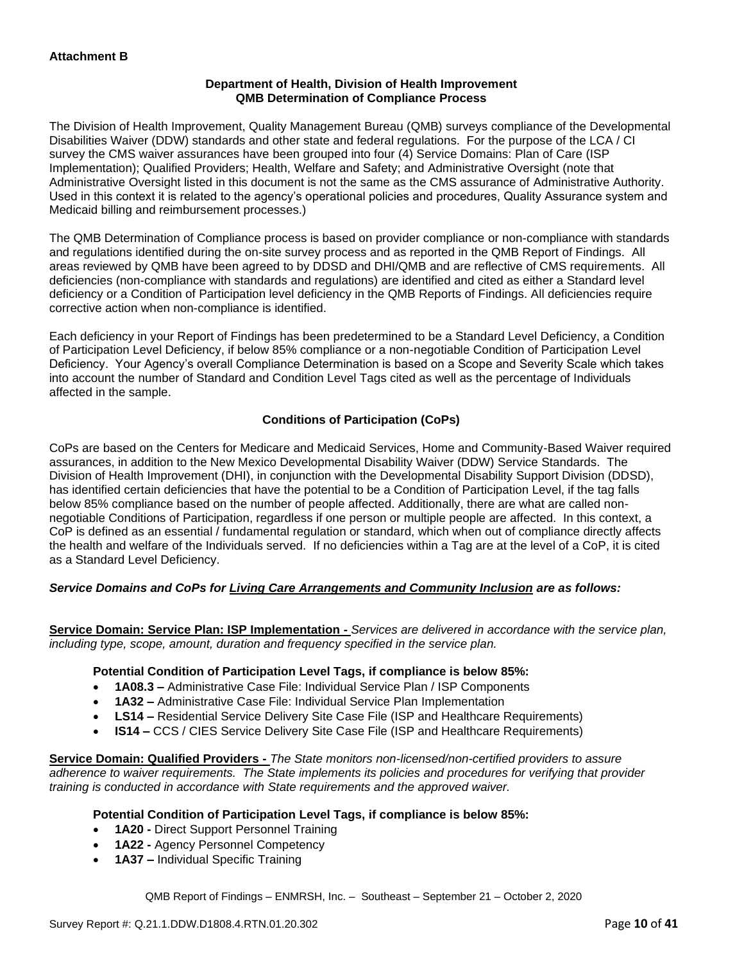## **Department of Health, Division of Health Improvement QMB Determination of Compliance Process**

The Division of Health Improvement, Quality Management Bureau (QMB) surveys compliance of the Developmental Disabilities Waiver (DDW) standards and other state and federal regulations. For the purpose of the LCA / CI survey the CMS waiver assurances have been grouped into four (4) Service Domains: Plan of Care (ISP Implementation); Qualified Providers; Health, Welfare and Safety; and Administrative Oversight (note that Administrative Oversight listed in this document is not the same as the CMS assurance of Administrative Authority. Used in this context it is related to the agency's operational policies and procedures, Quality Assurance system and Medicaid billing and reimbursement processes.)

The QMB Determination of Compliance process is based on provider compliance or non-compliance with standards and regulations identified during the on-site survey process and as reported in the QMB Report of Findings. All areas reviewed by QMB have been agreed to by DDSD and DHI/QMB and are reflective of CMS requirements. All deficiencies (non-compliance with standards and regulations) are identified and cited as either a Standard level deficiency or a Condition of Participation level deficiency in the QMB Reports of Findings. All deficiencies require corrective action when non-compliance is identified.

Each deficiency in your Report of Findings has been predetermined to be a Standard Level Deficiency, a Condition of Participation Level Deficiency, if below 85% compliance or a non-negotiable Condition of Participation Level Deficiency. Your Agency's overall Compliance Determination is based on a Scope and Severity Scale which takes into account the number of Standard and Condition Level Tags cited as well as the percentage of Individuals affected in the sample.

## **Conditions of Participation (CoPs)**

CoPs are based on the Centers for Medicare and Medicaid Services, Home and Community-Based Waiver required assurances, in addition to the New Mexico Developmental Disability Waiver (DDW) Service Standards. The Division of Health Improvement (DHI), in conjunction with the Developmental Disability Support Division (DDSD), has identified certain deficiencies that have the potential to be a Condition of Participation Level, if the tag falls below 85% compliance based on the number of people affected. Additionally, there are what are called nonnegotiable Conditions of Participation, regardless if one person or multiple people are affected. In this context, a CoP is defined as an essential / fundamental regulation or standard, which when out of compliance directly affects the health and welfare of the Individuals served. If no deficiencies within a Tag are at the level of a CoP, it is cited as a Standard Level Deficiency.

## *Service Domains and CoPs for Living Care Arrangements and Community Inclusion are as follows:*

**Service Domain: Service Plan: ISP Implementation -** *Services are delivered in accordance with the service plan, including type, scope, amount, duration and frequency specified in the service plan.*

#### **Potential Condition of Participation Level Tags, if compliance is below 85%:**

- **1A08.3 –** Administrative Case File: Individual Service Plan / ISP Components
- **1A32 –** Administrative Case File: Individual Service Plan Implementation
- **LS14 –** Residential Service Delivery Site Case File (ISP and Healthcare Requirements)
- **IS14 –** CCS / CIES Service Delivery Site Case File (ISP and Healthcare Requirements)

**Service Domain: Qualified Providers -** *The State monitors non-licensed/non-certified providers to assure adherence to waiver requirements. The State implements its policies and procedures for verifying that provider training is conducted in accordance with State requirements and the approved waiver.*

#### **Potential Condition of Participation Level Tags, if compliance is below 85%:**

- **1A20 -** Direct Support Personnel Training
- **1A22 -** Agency Personnel Competency
- **1A37 –** Individual Specific Training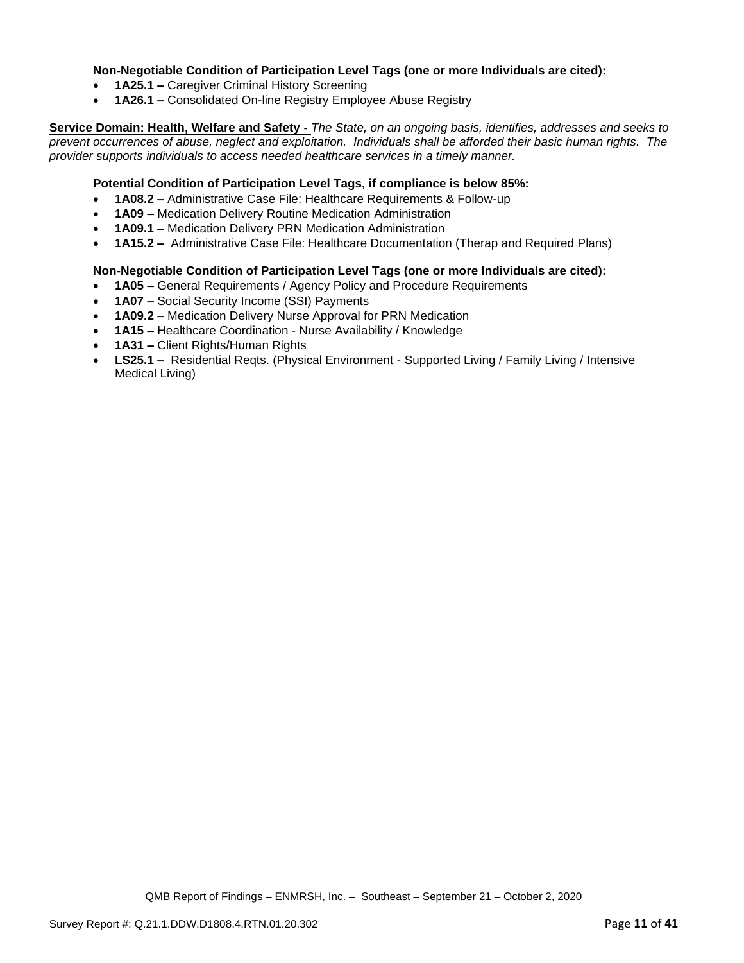#### **Non-Negotiable Condition of Participation Level Tags (one or more Individuals are cited):**

- **1A25.1 –** Caregiver Criminal History Screening
- **1A26.1 –** Consolidated On-line Registry Employee Abuse Registry

**Service Domain: Health, Welfare and Safety -** *The State, on an ongoing basis, identifies, addresses and seeks to prevent occurrences of abuse, neglect and exploitation. Individuals shall be afforded their basic human rights. The provider supports individuals to access needed healthcare services in a timely manner.*

#### **Potential Condition of Participation Level Tags, if compliance is below 85%:**

- **1A08.2 –** Administrative Case File: Healthcare Requirements & Follow-up
- **1A09 –** Medication Delivery Routine Medication Administration
- **1A09.1 –** Medication Delivery PRN Medication Administration
- **1A15.2 –** Administrative Case File: Healthcare Documentation (Therap and Required Plans)

#### **Non-Negotiable Condition of Participation Level Tags (one or more Individuals are cited):**

- **1A05 –** General Requirements / Agency Policy and Procedure Requirements
- **1A07 –** Social Security Income (SSI) Payments
- **1A09.2 –** Medication Delivery Nurse Approval for PRN Medication
- **1A15 –** Healthcare Coordination Nurse Availability / Knowledge
- **1A31 –** Client Rights/Human Rights
- **LS25.1 –** Residential Reqts. (Physical Environment Supported Living / Family Living / Intensive Medical Living)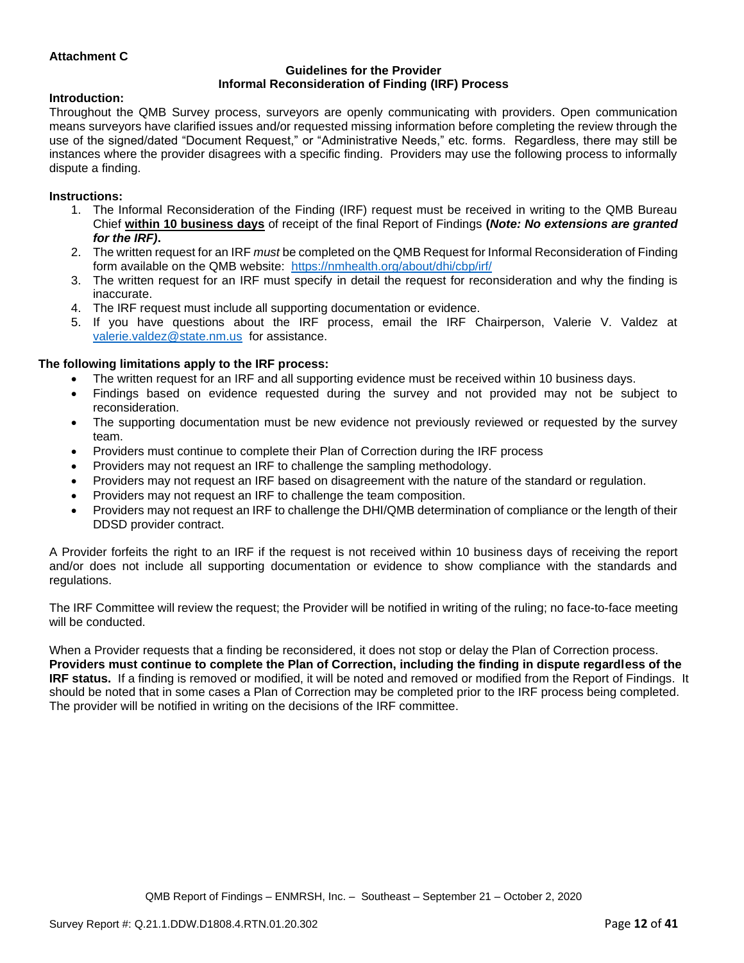## **Attachment C**

#### **Guidelines for the Provider Informal Reconsideration of Finding (IRF) Process**

#### **Introduction:**

Throughout the QMB Survey process, surveyors are openly communicating with providers. Open communication means surveyors have clarified issues and/or requested missing information before completing the review through the use of the signed/dated "Document Request," or "Administrative Needs," etc. forms. Regardless, there may still be instances where the provider disagrees with a specific finding. Providers may use the following process to informally dispute a finding.

#### **Instructions:**

- 1. The Informal Reconsideration of the Finding (IRF) request must be received in writing to the QMB Bureau Chief **within 10 business days** of receipt of the final Report of Findings **(***Note: No extensions are granted for the IRF)***.**
- 2. The written request for an IRF *must* be completed on the QMB Request for Informal Reconsideration of Finding form available on the QMB website: <https://nmhealth.org/about/dhi/cbp/irf/>
- 3. The written request for an IRF must specify in detail the request for reconsideration and why the finding is inaccurate.
- 4. The IRF request must include all supporting documentation or evidence.
- 5. If you have questions about the IRF process, email the IRF Chairperson, Valerie V. Valdez at [valerie.valdez@state.nm.us](mailto:valerie.valdez@state.nm.us) for assistance.

#### **The following limitations apply to the IRF process:**

- The written request for an IRF and all supporting evidence must be received within 10 business days.
- Findings based on evidence requested during the survey and not provided may not be subject to reconsideration.
- The supporting documentation must be new evidence not previously reviewed or requested by the survey team.
- Providers must continue to complete their Plan of Correction during the IRF process
- Providers may not request an IRF to challenge the sampling methodology.
- Providers may not request an IRF based on disagreement with the nature of the standard or regulation.
- Providers may not request an IRF to challenge the team composition.
- Providers may not request an IRF to challenge the DHI/QMB determination of compliance or the length of their DDSD provider contract.

A Provider forfeits the right to an IRF if the request is not received within 10 business days of receiving the report and/or does not include all supporting documentation or evidence to show compliance with the standards and regulations.

The IRF Committee will review the request; the Provider will be notified in writing of the ruling; no face-to-face meeting will be conducted.

When a Provider requests that a finding be reconsidered, it does not stop or delay the Plan of Correction process. **Providers must continue to complete the Plan of Correction, including the finding in dispute regardless of the IRF status.** If a finding is removed or modified, it will be noted and removed or modified from the Report of Findings. It should be noted that in some cases a Plan of Correction may be completed prior to the IRF process being completed. The provider will be notified in writing on the decisions of the IRF committee.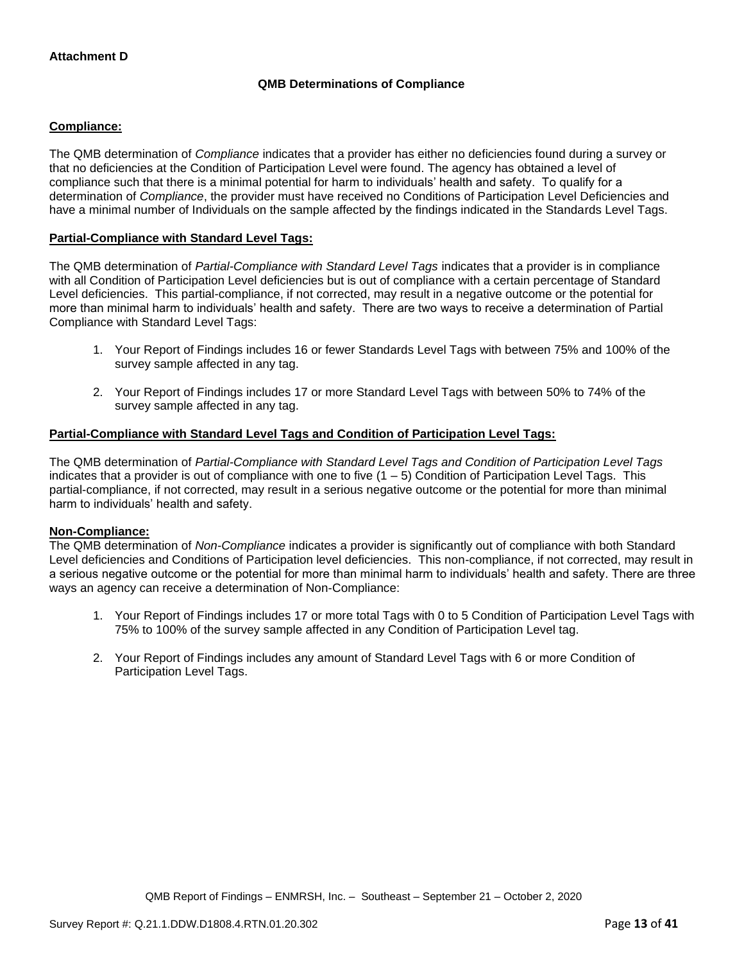## **QMB Determinations of Compliance**

### **Compliance:**

The QMB determination of *Compliance* indicates that a provider has either no deficiencies found during a survey or that no deficiencies at the Condition of Participation Level were found. The agency has obtained a level of compliance such that there is a minimal potential for harm to individuals' health and safety. To qualify for a determination of *Compliance*, the provider must have received no Conditions of Participation Level Deficiencies and have a minimal number of Individuals on the sample affected by the findings indicated in the Standards Level Tags.

#### **Partial-Compliance with Standard Level Tags:**

The QMB determination of *Partial-Compliance with Standard Level Tags* indicates that a provider is in compliance with all Condition of Participation Level deficiencies but is out of compliance with a certain percentage of Standard Level deficiencies. This partial-compliance, if not corrected, may result in a negative outcome or the potential for more than minimal harm to individuals' health and safety. There are two ways to receive a determination of Partial Compliance with Standard Level Tags:

- 1. Your Report of Findings includes 16 or fewer Standards Level Tags with between 75% and 100% of the survey sample affected in any tag.
- 2. Your Report of Findings includes 17 or more Standard Level Tags with between 50% to 74% of the survey sample affected in any tag.

## **Partial-Compliance with Standard Level Tags and Condition of Participation Level Tags:**

The QMB determination of *Partial-Compliance with Standard Level Tags and Condition of Participation Level Tags*  indicates that a provider is out of compliance with one to five  $(1 - 5)$  Condition of Participation Level Tags. This partial-compliance, if not corrected, may result in a serious negative outcome or the potential for more than minimal harm to individuals' health and safety.

#### **Non-Compliance:**

The QMB determination of *Non-Compliance* indicates a provider is significantly out of compliance with both Standard Level deficiencies and Conditions of Participation level deficiencies. This non-compliance, if not corrected, may result in a serious negative outcome or the potential for more than minimal harm to individuals' health and safety. There are three ways an agency can receive a determination of Non-Compliance:

- 1. Your Report of Findings includes 17 or more total Tags with 0 to 5 Condition of Participation Level Tags with 75% to 100% of the survey sample affected in any Condition of Participation Level tag.
- 2. Your Report of Findings includes any amount of Standard Level Tags with 6 or more Condition of Participation Level Tags.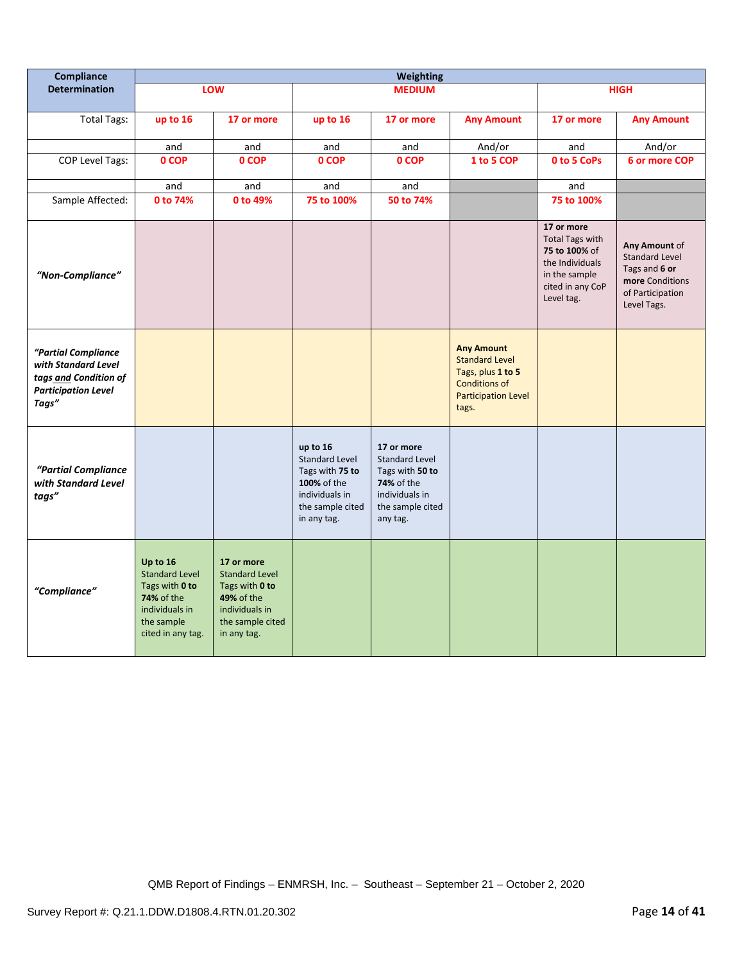| Compliance                                                                                                 | <b>Weighting</b>                                                                                                       |                                                                                                                          |                                                                                                                          |                                                                                                                        |                                                                                                                                |                                                                                                                             |                                                                                                               |
|------------------------------------------------------------------------------------------------------------|------------------------------------------------------------------------------------------------------------------------|--------------------------------------------------------------------------------------------------------------------------|--------------------------------------------------------------------------------------------------------------------------|------------------------------------------------------------------------------------------------------------------------|--------------------------------------------------------------------------------------------------------------------------------|-----------------------------------------------------------------------------------------------------------------------------|---------------------------------------------------------------------------------------------------------------|
| <b>Determination</b>                                                                                       |                                                                                                                        | LOW                                                                                                                      |                                                                                                                          | <b>MEDIUM</b>                                                                                                          |                                                                                                                                |                                                                                                                             | <b>HIGH</b>                                                                                                   |
| <b>Total Tags:</b>                                                                                         | up to 16                                                                                                               | 17 or more                                                                                                               | up to 16                                                                                                                 | 17 or more                                                                                                             | <b>Any Amount</b>                                                                                                              | 17 or more                                                                                                                  | <b>Any Amount</b>                                                                                             |
|                                                                                                            | and                                                                                                                    | and                                                                                                                      | and                                                                                                                      | and                                                                                                                    | And/or                                                                                                                         | and                                                                                                                         | And/or                                                                                                        |
| <b>COP Level Tags:</b>                                                                                     | 0 COP                                                                                                                  | 0 COP                                                                                                                    | 0 COP                                                                                                                    | 0 COP                                                                                                                  | 1 to 5 COP                                                                                                                     | 0 to 5 CoPs                                                                                                                 | 6 or more COP                                                                                                 |
|                                                                                                            | and                                                                                                                    | and                                                                                                                      | and                                                                                                                      | and                                                                                                                    |                                                                                                                                | and                                                                                                                         |                                                                                                               |
| Sample Affected:                                                                                           | 0 to 74%                                                                                                               | 0 to 49%                                                                                                                 | 75 to 100%                                                                                                               | 50 to 74%                                                                                                              |                                                                                                                                | 75 to 100%                                                                                                                  |                                                                                                               |
| "Non-Compliance"                                                                                           |                                                                                                                        |                                                                                                                          |                                                                                                                          |                                                                                                                        |                                                                                                                                | 17 or more<br><b>Total Tags with</b><br>75 to 100% of<br>the Individuals<br>in the sample<br>cited in any CoP<br>Level tag. | Any Amount of<br><b>Standard Level</b><br>Tags and 6 or<br>more Conditions<br>of Participation<br>Level Tags. |
| "Partial Compliance<br>with Standard Level<br>tags and Condition of<br><b>Participation Level</b><br>Tags" |                                                                                                                        |                                                                                                                          |                                                                                                                          |                                                                                                                        | <b>Any Amount</b><br><b>Standard Level</b><br>Tags, plus 1 to 5<br><b>Conditions of</b><br><b>Participation Level</b><br>tags. |                                                                                                                             |                                                                                                               |
| "Partial Compliance<br>with Standard Level<br>tags"                                                        |                                                                                                                        |                                                                                                                          | up to 16<br><b>Standard Level</b><br>Tags with 75 to<br>100% of the<br>individuals in<br>the sample cited<br>in any tag. | 17 or more<br>Standard Level<br>Tags with 50 to<br><b>74%</b> of the<br>individuals in<br>the sample cited<br>any tag. |                                                                                                                                |                                                                                                                             |                                                                                                               |
| "Compliance"                                                                                               | Up to 16<br><b>Standard Level</b><br>Tags with 0 to<br>74% of the<br>individuals in<br>the sample<br>cited in any tag. | 17 or more<br><b>Standard Level</b><br>Tags with 0 to<br>49% of the<br>individuals in<br>the sample cited<br>in any tag. |                                                                                                                          |                                                                                                                        |                                                                                                                                |                                                                                                                             |                                                                                                               |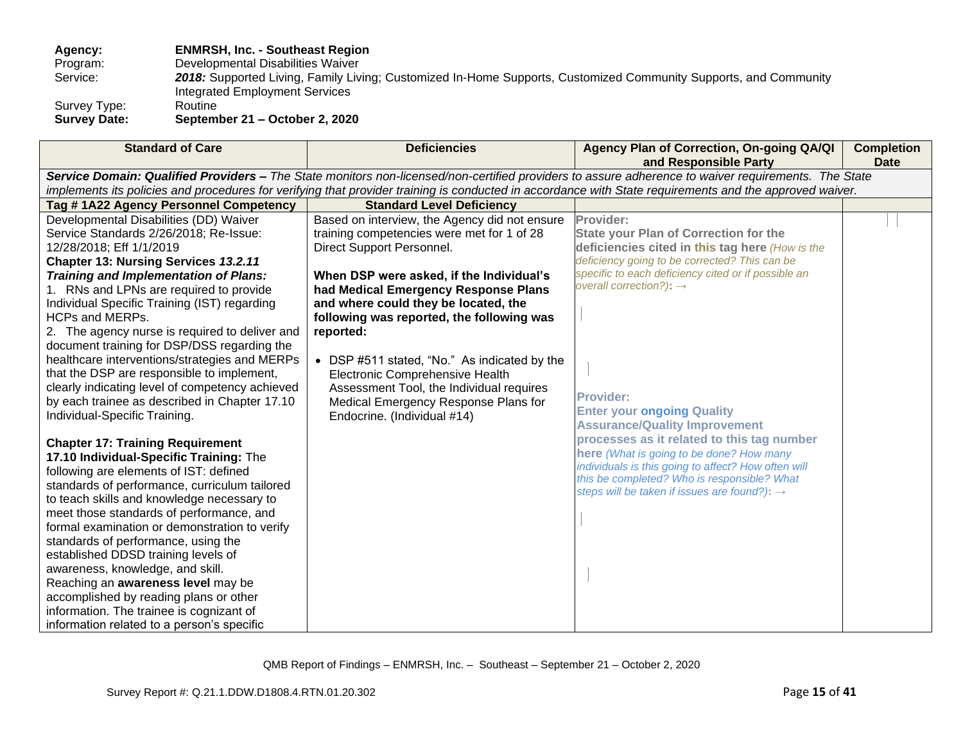**Agency: ENMRSH, Inc. - Southeast Region**

Program: Developmental Disabilities Waiver<br>Service: 2018: Supported Living, Family Livi

2018: Supported Living, Family Living; Customized In-Home Supports, Customized Community Supports, and Community Integrated Employment Services

Survey Type: Routine<br>
Survey Date: Septem **Survey Date: September 21 – October 2, 2020** 

| <b>Standard of Care</b>                                                                                                                                                                                                                                                                                                                                                                                                                                                                                                                                                                                                                                                                                                                                                                                                                                                                                                                                                                                                    | <b>Deficiencies</b>                                                                                                                                                                                                                                                                                                                                                                                                                                                                                                  | Agency Plan of Correction, On-going QA/QI<br>and Responsible Party                                                                                                                                                                                                                                                                                                                                                                                                                                                                                                                                                       | <b>Completion</b><br><b>Date</b> |
|----------------------------------------------------------------------------------------------------------------------------------------------------------------------------------------------------------------------------------------------------------------------------------------------------------------------------------------------------------------------------------------------------------------------------------------------------------------------------------------------------------------------------------------------------------------------------------------------------------------------------------------------------------------------------------------------------------------------------------------------------------------------------------------------------------------------------------------------------------------------------------------------------------------------------------------------------------------------------------------------------------------------------|----------------------------------------------------------------------------------------------------------------------------------------------------------------------------------------------------------------------------------------------------------------------------------------------------------------------------------------------------------------------------------------------------------------------------------------------------------------------------------------------------------------------|--------------------------------------------------------------------------------------------------------------------------------------------------------------------------------------------------------------------------------------------------------------------------------------------------------------------------------------------------------------------------------------------------------------------------------------------------------------------------------------------------------------------------------------------------------------------------------------------------------------------------|----------------------------------|
|                                                                                                                                                                                                                                                                                                                                                                                                                                                                                                                                                                                                                                                                                                                                                                                                                                                                                                                                                                                                                            |                                                                                                                                                                                                                                                                                                                                                                                                                                                                                                                      | Service Domain: Qualified Providers - The State monitors non-licensed/non-certified providers to assure adherence to waiver requirements. The State                                                                                                                                                                                                                                                                                                                                                                                                                                                                      |                                  |
|                                                                                                                                                                                                                                                                                                                                                                                                                                                                                                                                                                                                                                                                                                                                                                                                                                                                                                                                                                                                                            |                                                                                                                                                                                                                                                                                                                                                                                                                                                                                                                      | implements its policies and procedures for verifying that provider training is conducted in accordance with State requirements and the approved waiver.                                                                                                                                                                                                                                                                                                                                                                                                                                                                  |                                  |
| Tag #1A22 Agency Personnel Competency                                                                                                                                                                                                                                                                                                                                                                                                                                                                                                                                                                                                                                                                                                                                                                                                                                                                                                                                                                                      | <b>Standard Level Deficiency</b>                                                                                                                                                                                                                                                                                                                                                                                                                                                                                     |                                                                                                                                                                                                                                                                                                                                                                                                                                                                                                                                                                                                                          |                                  |
| Developmental Disabilities (DD) Waiver<br>Service Standards 2/26/2018; Re-Issue:<br>12/28/2018; Eff 1/1/2019<br>Chapter 13: Nursing Services 13.2.11<br>Training and Implementation of Plans:<br>1. RNs and LPNs are required to provide<br>Individual Specific Training (IST) regarding<br><b>HCPs and MERPs.</b><br>2. The agency nurse is required to deliver and<br>document training for DSP/DSS regarding the<br>healthcare interventions/strategies and MERPs<br>that the DSP are responsible to implement,<br>clearly indicating level of competency achieved<br>by each trainee as described in Chapter 17.10<br>Individual-Specific Training.<br><b>Chapter 17: Training Requirement</b><br>17.10 Individual-Specific Training: The<br>following are elements of IST: defined<br>standards of performance, curriculum tailored<br>to teach skills and knowledge necessary to<br>meet those standards of performance, and<br>formal examination or demonstration to verify<br>standards of performance, using the | Based on interview, the Agency did not ensure<br>training competencies were met for 1 of 28<br>Direct Support Personnel.<br>When DSP were asked, if the Individual's<br>had Medical Emergency Response Plans<br>and where could they be located, the<br>following was reported, the following was<br>reported:<br>• DSP #511 stated, "No." As indicated by the<br>Electronic Comprehensive Health<br>Assessment Tool, the Individual requires<br>Medical Emergency Response Plans for<br>Endocrine. (Individual #14) | Provider:<br><b>State your Plan of Correction for the</b><br>deficiencies cited in this tag here (How is the<br>deficiency going to be corrected? This can be<br>specific to each deficiency cited or if possible an<br>overall correction?): $\rightarrow$<br><b>Provider:</b><br><b>Enter your ongoing Quality</b><br><b>Assurance/Quality Improvement</b><br>processes as it related to this tag number<br>here (What is going to be done? How many<br>individuals is this going to affect? How often will<br>this be completed? Who is responsible? What<br>steps will be taken if issues are found?): $\rightarrow$ |                                  |
| established DDSD training levels of<br>awareness, knowledge, and skill.                                                                                                                                                                                                                                                                                                                                                                                                                                                                                                                                                                                                                                                                                                                                                                                                                                                                                                                                                    |                                                                                                                                                                                                                                                                                                                                                                                                                                                                                                                      |                                                                                                                                                                                                                                                                                                                                                                                                                                                                                                                                                                                                                          |                                  |
| Reaching an awareness level may be                                                                                                                                                                                                                                                                                                                                                                                                                                                                                                                                                                                                                                                                                                                                                                                                                                                                                                                                                                                         |                                                                                                                                                                                                                                                                                                                                                                                                                                                                                                                      |                                                                                                                                                                                                                                                                                                                                                                                                                                                                                                                                                                                                                          |                                  |
| accomplished by reading plans or other                                                                                                                                                                                                                                                                                                                                                                                                                                                                                                                                                                                                                                                                                                                                                                                                                                                                                                                                                                                     |                                                                                                                                                                                                                                                                                                                                                                                                                                                                                                                      |                                                                                                                                                                                                                                                                                                                                                                                                                                                                                                                                                                                                                          |                                  |
| information. The trainee is cognizant of                                                                                                                                                                                                                                                                                                                                                                                                                                                                                                                                                                                                                                                                                                                                                                                                                                                                                                                                                                                   |                                                                                                                                                                                                                                                                                                                                                                                                                                                                                                                      |                                                                                                                                                                                                                                                                                                                                                                                                                                                                                                                                                                                                                          |                                  |
| information related to a person's specific                                                                                                                                                                                                                                                                                                                                                                                                                                                                                                                                                                                                                                                                                                                                                                                                                                                                                                                                                                                 |                                                                                                                                                                                                                                                                                                                                                                                                                                                                                                                      |                                                                                                                                                                                                                                                                                                                                                                                                                                                                                                                                                                                                                          |                                  |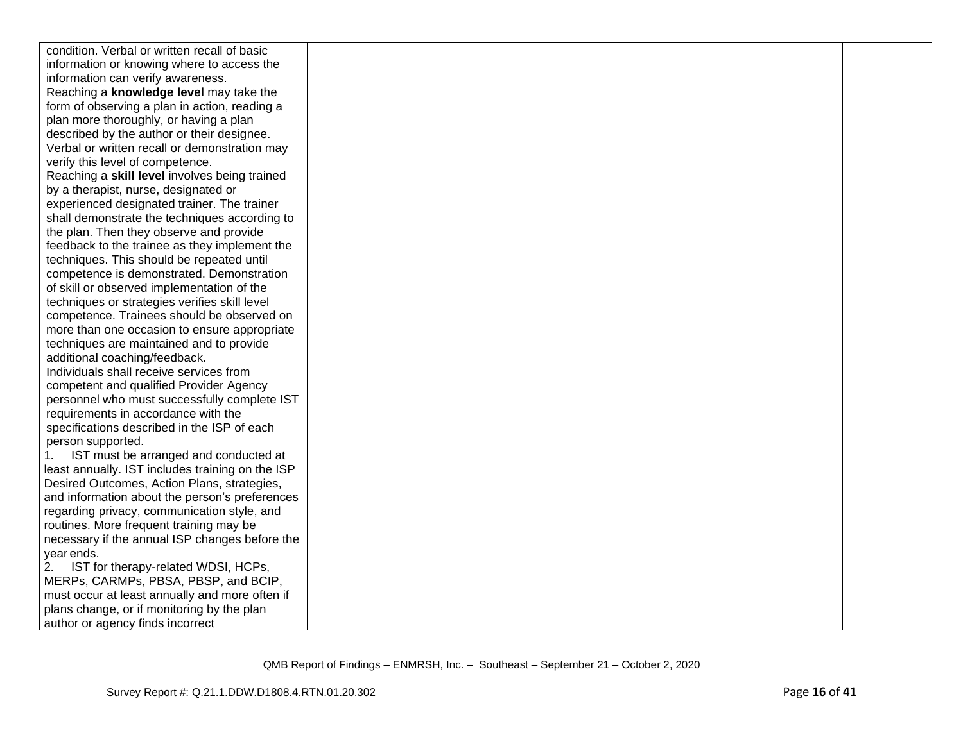| condition. Verbal or written recall of basic     |  |  |
|--------------------------------------------------|--|--|
| information or knowing where to access the       |  |  |
| information can verify awareness.                |  |  |
| Reaching a knowledge level may take the          |  |  |
| form of observing a plan in action, reading a    |  |  |
| plan more thoroughly, or having a plan           |  |  |
| described by the author or their designee.       |  |  |
| Verbal or written recall or demonstration may    |  |  |
| verify this level of competence.                 |  |  |
| Reaching a skill level involves being trained    |  |  |
| by a therapist, nurse, designated or             |  |  |
| experienced designated trainer. The trainer      |  |  |
| shall demonstrate the techniques according to    |  |  |
| the plan. Then they observe and provide          |  |  |
| feedback to the trainee as they implement the    |  |  |
| techniques. This should be repeated until        |  |  |
| competence is demonstrated. Demonstration        |  |  |
| of skill or observed implementation of the       |  |  |
| techniques or strategies verifies skill level    |  |  |
| competence. Trainees should be observed on       |  |  |
| more than one occasion to ensure appropriate     |  |  |
| techniques are maintained and to provide         |  |  |
| additional coaching/feedback.                    |  |  |
| Individuals shall receive services from          |  |  |
| competent and qualified Provider Agency          |  |  |
| personnel who must successfully complete IST     |  |  |
| requirements in accordance with the              |  |  |
| specifications described in the ISP of each      |  |  |
| person supported.                                |  |  |
| IST must be arranged and conducted at            |  |  |
| least annually. IST includes training on the ISP |  |  |
| Desired Outcomes, Action Plans, strategies,      |  |  |
| and information about the person's preferences   |  |  |
| regarding privacy, communication style, and      |  |  |
| routines. More frequent training may be          |  |  |
| necessary if the annual ISP changes before the   |  |  |
| year ends.                                       |  |  |
| IST for therapy-related WDSI, HCPs,<br>2.        |  |  |
| MERPs, CARMPs, PBSA, PBSP, and BCIP,             |  |  |
| must occur at least annually and more often if   |  |  |
| plans change, or if monitoring by the plan       |  |  |
| author or agency finds incorrect                 |  |  |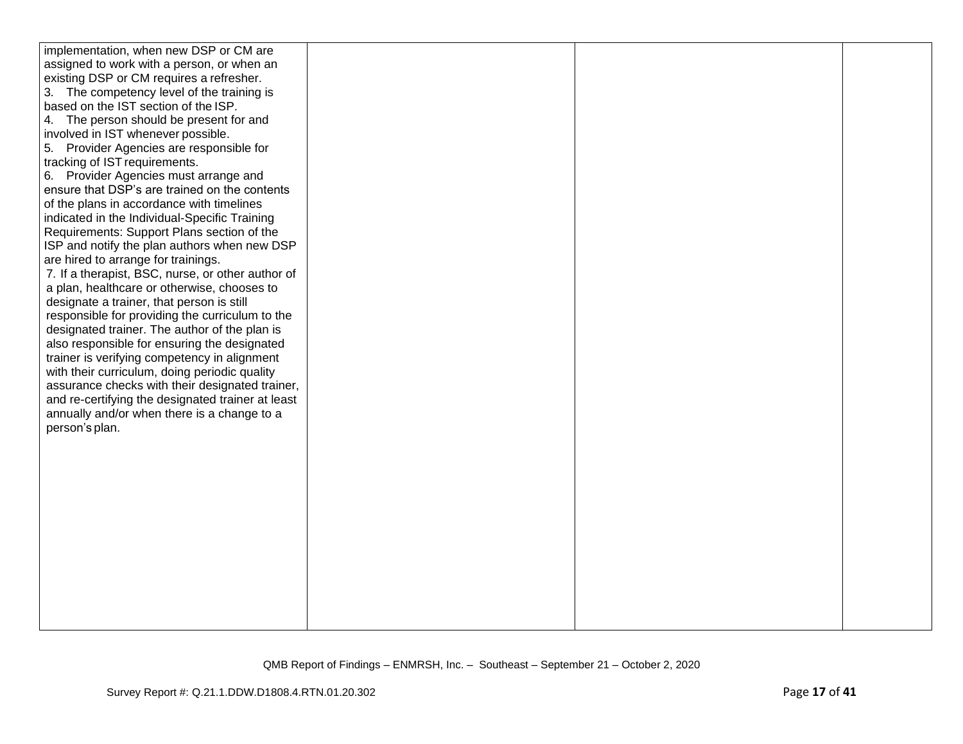| implementation, when new DSP or CM are            |  |  |
|---------------------------------------------------|--|--|
| assigned to work with a person, or when an        |  |  |
| existing DSP or CM requires a refresher.          |  |  |
| 3. The competency level of the training is        |  |  |
| based on the IST section of the ISP.              |  |  |
| 4. The person should be present for and           |  |  |
| involved in IST whenever possible.                |  |  |
| 5. Provider Agencies are responsible for          |  |  |
| tracking of IST requirements.                     |  |  |
| 6. Provider Agencies must arrange and             |  |  |
| ensure that DSP's are trained on the contents     |  |  |
| of the plans in accordance with timelines         |  |  |
| indicated in the Individual-Specific Training     |  |  |
| Requirements: Support Plans section of the        |  |  |
| ISP and notify the plan authors when new DSP      |  |  |
| are hired to arrange for trainings.               |  |  |
| 7. If a therapist, BSC, nurse, or other author of |  |  |
| a plan, healthcare or otherwise, chooses to       |  |  |
| designate a trainer, that person is still         |  |  |
| responsible for providing the curriculum to the   |  |  |
| designated trainer. The author of the plan is     |  |  |
| also responsible for ensuring the designated      |  |  |
| trainer is verifying competency in alignment      |  |  |
| with their curriculum, doing periodic quality     |  |  |
| assurance checks with their designated trainer,   |  |  |
| and re-certifying the designated trainer at least |  |  |
| annually and/or when there is a change to a       |  |  |
| person's plan.                                    |  |  |
|                                                   |  |  |
|                                                   |  |  |
|                                                   |  |  |
|                                                   |  |  |
|                                                   |  |  |
|                                                   |  |  |
|                                                   |  |  |
|                                                   |  |  |
|                                                   |  |  |
|                                                   |  |  |
|                                                   |  |  |
|                                                   |  |  |
|                                                   |  |  |
|                                                   |  |  |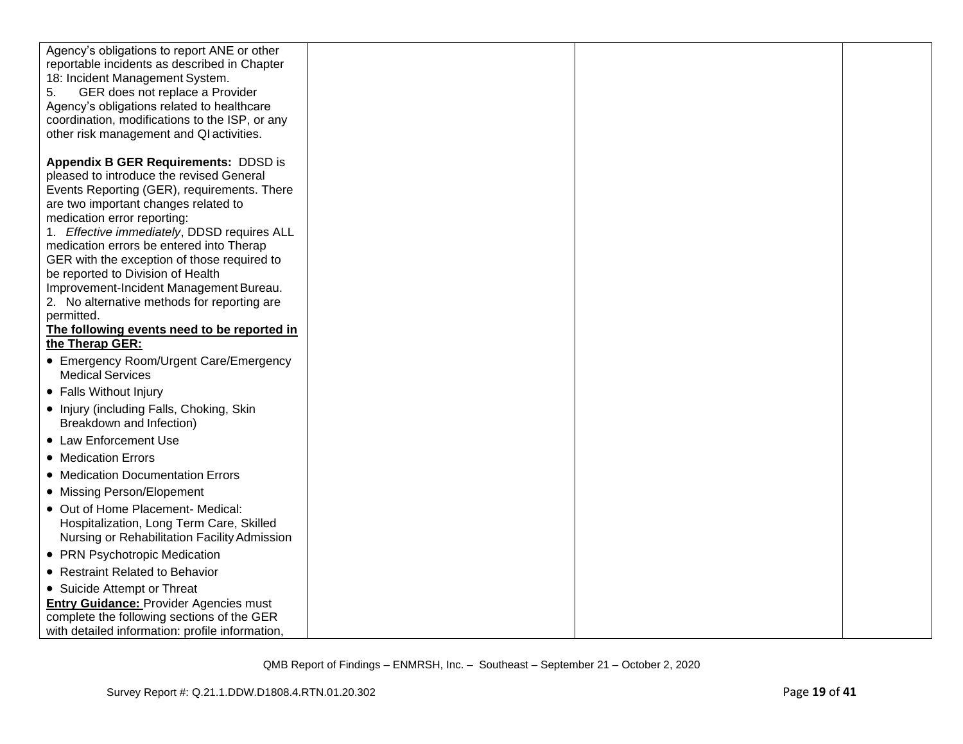| Agency's obligations to report ANE or other<br>reportable incidents as described in Chapter<br>18: Incident Management System.<br>GER does not replace a Provider<br>5.<br>Agency's obligations related to healthcare<br>coordination, modifications to the ISP, or any<br>other risk management and QI activities. |  |  |
|---------------------------------------------------------------------------------------------------------------------------------------------------------------------------------------------------------------------------------------------------------------------------------------------------------------------|--|--|
| <b>Appendix B GER Requirements: DDSD is</b><br>pleased to introduce the revised General<br>Events Reporting (GER), requirements. There<br>are two important changes related to<br>medication error reporting:<br>1. Effective immediately, DDSD requires ALL                                                        |  |  |
| medication errors be entered into Therap<br>GER with the exception of those required to<br>be reported to Division of Health<br>Improvement-Incident Management Bureau.<br>2. No alternative methods for reporting are                                                                                              |  |  |
| permitted.<br>The following events need to be reported in<br>the Therap GER:                                                                                                                                                                                                                                        |  |  |
| • Emergency Room/Urgent Care/Emergency<br><b>Medical Services</b>                                                                                                                                                                                                                                                   |  |  |
| • Falls Without Injury                                                                                                                                                                                                                                                                                              |  |  |
| • Injury (including Falls, Choking, Skin<br>Breakdown and Infection)                                                                                                                                                                                                                                                |  |  |
| • Law Enforcement Use                                                                                                                                                                                                                                                                                               |  |  |
| • Medication Errors                                                                                                                                                                                                                                                                                                 |  |  |
| • Medication Documentation Errors                                                                                                                                                                                                                                                                                   |  |  |
| • Missing Person/Elopement                                                                                                                                                                                                                                                                                          |  |  |
| • Out of Home Placement- Medical:<br>Hospitalization, Long Term Care, Skilled<br>Nursing or Rehabilitation Facility Admission                                                                                                                                                                                       |  |  |
| • PRN Psychotropic Medication                                                                                                                                                                                                                                                                                       |  |  |
| • Restraint Related to Behavior                                                                                                                                                                                                                                                                                     |  |  |
| • Suicide Attempt or Threat                                                                                                                                                                                                                                                                                         |  |  |
| <b>Entry Guidance: Provider Agencies must</b>                                                                                                                                                                                                                                                                       |  |  |
| complete the following sections of the GER                                                                                                                                                                                                                                                                          |  |  |
| with detailed information: profile information,                                                                                                                                                                                                                                                                     |  |  |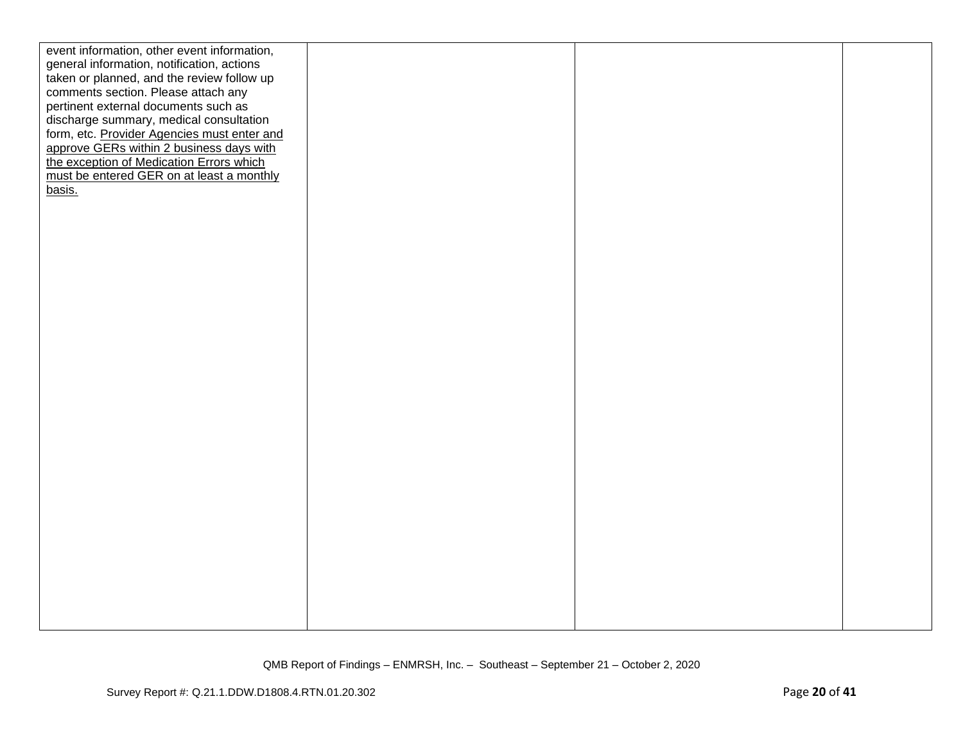| event information, other event information, |  |  |
|---------------------------------------------|--|--|
| general information, notification, actions  |  |  |
| taken or planned, and the review follow up  |  |  |
| comments section. Please attach any         |  |  |
| pertinent external documents such as        |  |  |
| discharge summary, medical consultation     |  |  |
| form, etc. Provider Agencies must enter and |  |  |
| approve GERs within 2 business days with    |  |  |
| the exception of Medication Errors which    |  |  |
| must be entered GER on at least a monthly   |  |  |
| basis.                                      |  |  |
|                                             |  |  |
|                                             |  |  |
|                                             |  |  |
|                                             |  |  |
|                                             |  |  |
|                                             |  |  |
|                                             |  |  |
|                                             |  |  |
|                                             |  |  |
|                                             |  |  |
|                                             |  |  |
|                                             |  |  |
|                                             |  |  |
|                                             |  |  |
|                                             |  |  |
|                                             |  |  |
|                                             |  |  |
|                                             |  |  |
|                                             |  |  |
|                                             |  |  |
|                                             |  |  |
|                                             |  |  |
|                                             |  |  |
|                                             |  |  |
|                                             |  |  |
|                                             |  |  |
|                                             |  |  |
|                                             |  |  |
|                                             |  |  |
|                                             |  |  |
|                                             |  |  |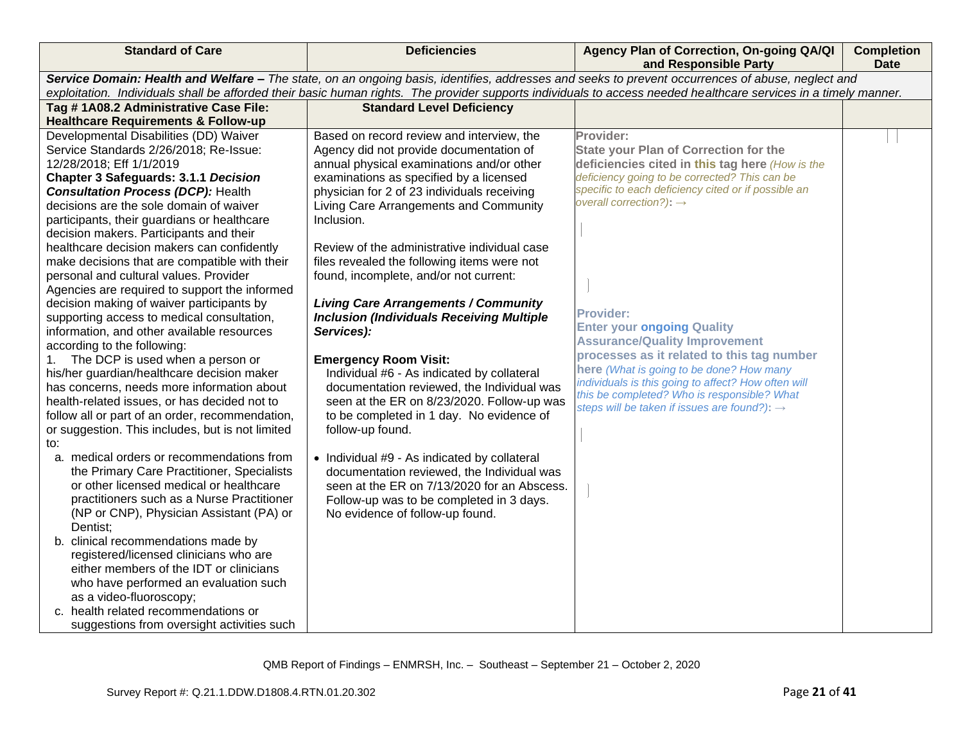| <b>Standard of Care</b>                                                                                                                           | <b>Deficiencies</b>                              | Agency Plan of Correction, On-going QA/QI<br>and Responsible Party                                                                                               | <b>Completion</b><br><b>Date</b> |  |
|---------------------------------------------------------------------------------------------------------------------------------------------------|--------------------------------------------------|------------------------------------------------------------------------------------------------------------------------------------------------------------------|----------------------------------|--|
| Service Domain: Health and Welfare - The state, on an ongoing basis, identifies, addresses and seeks to prevent occurrences of abuse, neglect and |                                                  |                                                                                                                                                                  |                                  |  |
|                                                                                                                                                   |                                                  | exploitation. Individuals shall be afforded their basic human rights. The provider supports individuals to access needed healthcare services in a timely manner. |                                  |  |
| Tag #1A08.2 Administrative Case File:                                                                                                             | <b>Standard Level Deficiency</b>                 |                                                                                                                                                                  |                                  |  |
| <b>Healthcare Requirements &amp; Follow-up</b><br>Developmental Disabilities (DD) Waiver                                                          | Based on record review and interview, the        | Provider:                                                                                                                                                        |                                  |  |
| Service Standards 2/26/2018; Re-Issue:                                                                                                            | Agency did not provide documentation of          | <b>State your Plan of Correction for the</b>                                                                                                                     |                                  |  |
| 12/28/2018; Eff 1/1/2019                                                                                                                          | annual physical examinations and/or other        | deficiencies cited in this tag here (How is the                                                                                                                  |                                  |  |
| <b>Chapter 3 Safeguards: 3.1.1 Decision</b>                                                                                                       | examinations as specified by a licensed          | deficiency going to be corrected? This can be                                                                                                                    |                                  |  |
| <b>Consultation Process (DCP): Health</b>                                                                                                         | physician for 2 of 23 individuals receiving      | specific to each deficiency cited or if possible an                                                                                                              |                                  |  |
| decisions are the sole domain of waiver                                                                                                           | Living Care Arrangements and Community           | overall correction?): $\rightarrow$                                                                                                                              |                                  |  |
| participants, their guardians or healthcare                                                                                                       | Inclusion.                                       |                                                                                                                                                                  |                                  |  |
| decision makers. Participants and their                                                                                                           |                                                  |                                                                                                                                                                  |                                  |  |
| healthcare decision makers can confidently                                                                                                        | Review of the administrative individual case     |                                                                                                                                                                  |                                  |  |
| make decisions that are compatible with their                                                                                                     | files revealed the following items were not      |                                                                                                                                                                  |                                  |  |
| personal and cultural values. Provider                                                                                                            | found, incomplete, and/or not current:           |                                                                                                                                                                  |                                  |  |
| Agencies are required to support the informed                                                                                                     |                                                  |                                                                                                                                                                  |                                  |  |
| decision making of waiver participants by                                                                                                         | <b>Living Care Arrangements / Community</b>      | <b>Provider:</b>                                                                                                                                                 |                                  |  |
| supporting access to medical consultation,                                                                                                        | <b>Inclusion (Individuals Receiving Multiple</b> | <b>Enter your ongoing Quality</b>                                                                                                                                |                                  |  |
| information, and other available resources                                                                                                        | Services):                                       | <b>Assurance/Quality Improvement</b>                                                                                                                             |                                  |  |
| according to the following:<br>The DCP is used when a person or<br>1.                                                                             | <b>Emergency Room Visit:</b>                     | processes as it related to this tag number                                                                                                                       |                                  |  |
| his/her guardian/healthcare decision maker                                                                                                        | Individual #6 - As indicated by collateral       | here (What is going to be done? How many                                                                                                                         |                                  |  |
| has concerns, needs more information about                                                                                                        | documentation reviewed, the Individual was       | individuals is this going to affect? How often will                                                                                                              |                                  |  |
| health-related issues, or has decided not to                                                                                                      | seen at the ER on 8/23/2020. Follow-up was       | this be completed? Who is responsible? What                                                                                                                      |                                  |  |
| follow all or part of an order, recommendation,                                                                                                   | to be completed in 1 day. No evidence of         | steps will be taken if issues are found?): $\rightarrow$                                                                                                         |                                  |  |
| or suggestion. This includes, but is not limited                                                                                                  | follow-up found.                                 |                                                                                                                                                                  |                                  |  |
| to:                                                                                                                                               |                                                  |                                                                                                                                                                  |                                  |  |
| a. medical orders or recommendations from                                                                                                         | • Individual #9 - As indicated by collateral     |                                                                                                                                                                  |                                  |  |
| the Primary Care Practitioner, Specialists                                                                                                        | documentation reviewed, the Individual was       |                                                                                                                                                                  |                                  |  |
| or other licensed medical or healthcare                                                                                                           | seen at the ER on 7/13/2020 for an Abscess.      |                                                                                                                                                                  |                                  |  |
| practitioners such as a Nurse Practitioner                                                                                                        | Follow-up was to be completed in 3 days.         |                                                                                                                                                                  |                                  |  |
| (NP or CNP), Physician Assistant (PA) or                                                                                                          | No evidence of follow-up found.                  |                                                                                                                                                                  |                                  |  |
| Dentist;                                                                                                                                          |                                                  |                                                                                                                                                                  |                                  |  |
| b. clinical recommendations made by<br>registered/licensed clinicians who are                                                                     |                                                  |                                                                                                                                                                  |                                  |  |
| either members of the IDT or clinicians                                                                                                           |                                                  |                                                                                                                                                                  |                                  |  |
| who have performed an evaluation such                                                                                                             |                                                  |                                                                                                                                                                  |                                  |  |
| as a video-fluoroscopy;                                                                                                                           |                                                  |                                                                                                                                                                  |                                  |  |
| c. health related recommendations or                                                                                                              |                                                  |                                                                                                                                                                  |                                  |  |
| suggestions from oversight activities such                                                                                                        |                                                  |                                                                                                                                                                  |                                  |  |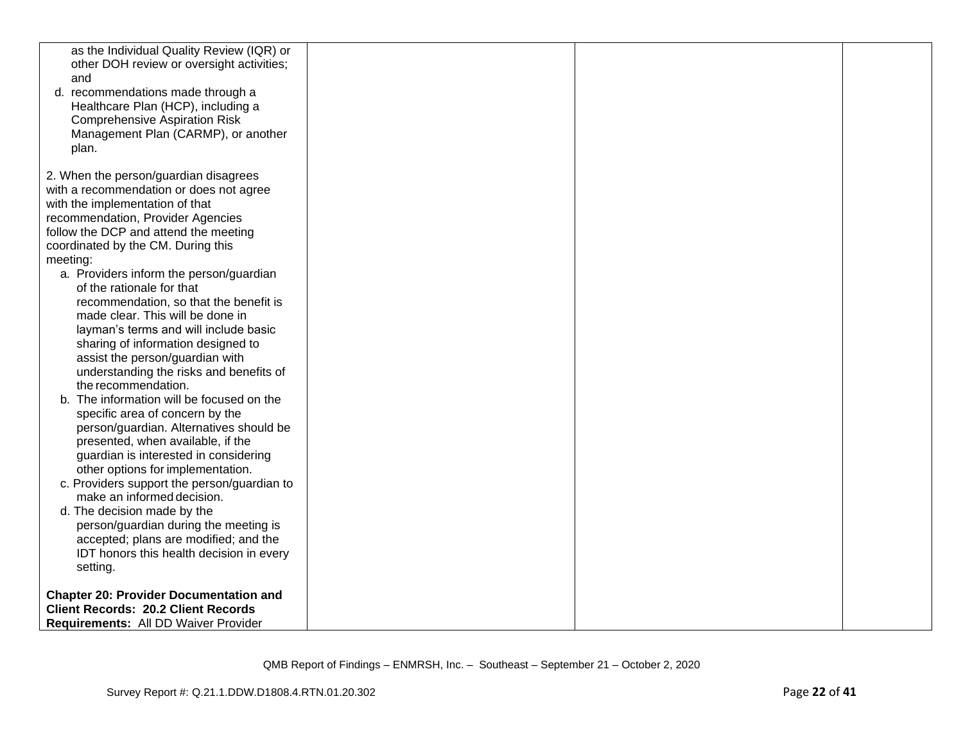| as the Individual Quality Review (IQR) or<br>other DOH review or oversight activities;<br>and<br>d. recommendations made through a<br>Healthcare Plan (HCP), including a<br><b>Comprehensive Aspiration Risk</b><br>Management Plan (CARMP), or another<br>plan.                                                                                                                                                                                                                                                                                                                              |  |  |
|-----------------------------------------------------------------------------------------------------------------------------------------------------------------------------------------------------------------------------------------------------------------------------------------------------------------------------------------------------------------------------------------------------------------------------------------------------------------------------------------------------------------------------------------------------------------------------------------------|--|--|
| 2. When the person/guardian disagrees<br>with a recommendation or does not agree<br>with the implementation of that<br>recommendation, Provider Agencies<br>follow the DCP and attend the meeting<br>coordinated by the CM. During this<br>meeting:<br>a. Providers inform the person/guardian<br>of the rationale for that<br>recommendation, so that the benefit is<br>made clear. This will be done in<br>layman's terms and will include basic<br>sharing of information designed to<br>assist the person/guardian with<br>understanding the risks and benefits of<br>the recommendation. |  |  |
| b. The information will be focused on the<br>specific area of concern by the<br>person/guardian. Alternatives should be<br>presented, when available, if the<br>guardian is interested in considering<br>other options for implementation.<br>c. Providers support the person/guardian to<br>make an informed decision.<br>d. The decision made by the<br>person/guardian during the meeting is<br>accepted; plans are modified; and the<br>IDT honors this health decision in every<br>setting.                                                                                              |  |  |
| <b>Chapter 20: Provider Documentation and</b><br><b>Client Records: 20.2 Client Records</b><br>Requirements: All DD Waiver Provider                                                                                                                                                                                                                                                                                                                                                                                                                                                           |  |  |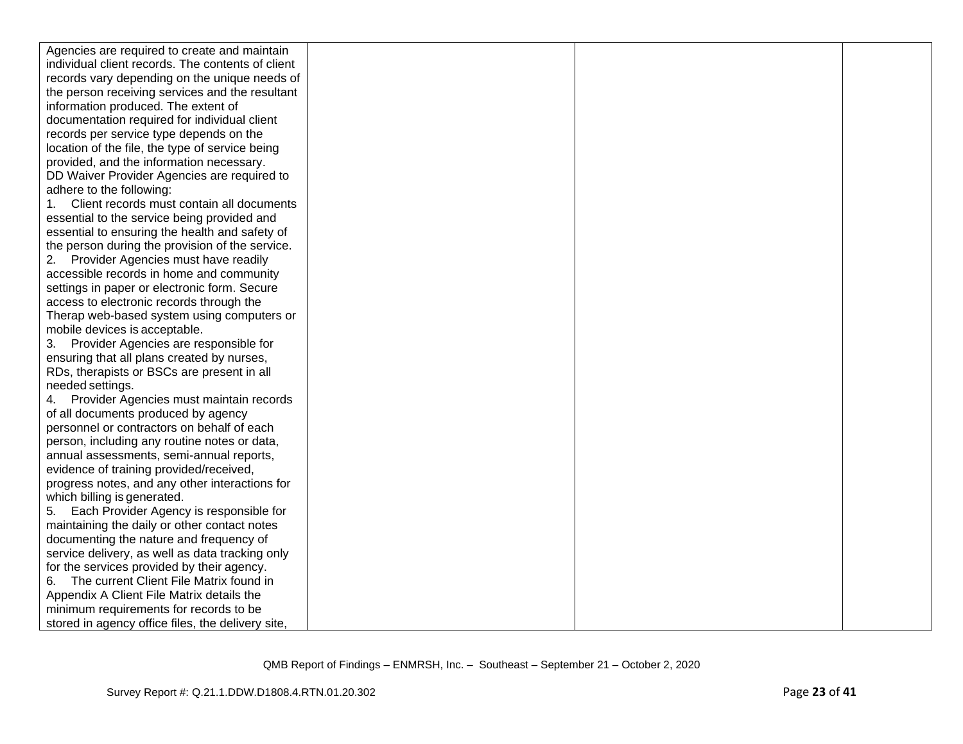| Agencies are required to create and maintain      |  |  |
|---------------------------------------------------|--|--|
| individual client records. The contents of client |  |  |
| records vary depending on the unique needs of     |  |  |
| the person receiving services and the resultant   |  |  |
| information produced. The extent of               |  |  |
| documentation required for individual client      |  |  |
| records per service type depends on the           |  |  |
| location of the file, the type of service being   |  |  |
| provided, and the information necessary.          |  |  |
| DD Waiver Provider Agencies are required to       |  |  |
| adhere to the following:                          |  |  |
| Client records must contain all documents<br>1.   |  |  |
| essential to the service being provided and       |  |  |
| essential to ensuring the health and safety of    |  |  |
| the person during the provision of the service.   |  |  |
| 2. Provider Agencies must have readily            |  |  |
| accessible records in home and community          |  |  |
| settings in paper or electronic form. Secure      |  |  |
| access to electronic records through the          |  |  |
| Therap web-based system using computers or        |  |  |
| mobile devices is acceptable.                     |  |  |
| Provider Agencies are responsible for<br>3.       |  |  |
| ensuring that all plans created by nurses,        |  |  |
| RDs, therapists or BSCs are present in all        |  |  |
| needed settings.                                  |  |  |
| Provider Agencies must maintain records<br>4.     |  |  |
| of all documents produced by agency               |  |  |
| personnel or contractors on behalf of each        |  |  |
| person, including any routine notes or data,      |  |  |
| annual assessments, semi-annual reports,          |  |  |
| evidence of training provided/received,           |  |  |
| progress notes, and any other interactions for    |  |  |
| which billing is generated.                       |  |  |
| Each Provider Agency is responsible for<br>5.     |  |  |
| maintaining the daily or other contact notes      |  |  |
| documenting the nature and frequency of           |  |  |
| service delivery, as well as data tracking only   |  |  |
| for the services provided by their agency.        |  |  |
| 6. The current Client File Matrix found in        |  |  |
| Appendix A Client File Matrix details the         |  |  |
| minimum requirements for records to be            |  |  |
| stored in agency office files, the delivery site, |  |  |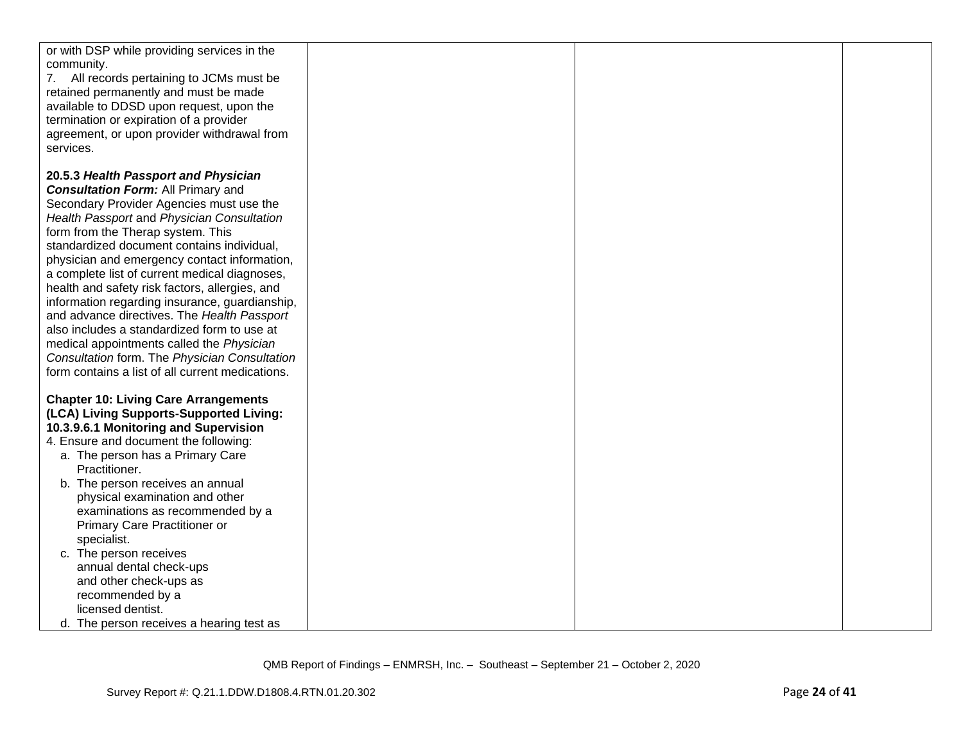| or with DSP while providing services in the<br>community.<br>7. All records pertaining to JCMs must be<br>retained permanently and must be made<br>available to DDSD upon request, upon the<br>termination or expiration of a provider<br>agreement, or upon provider withdrawal from<br>services.                                                                                                                                                |  |  |
|---------------------------------------------------------------------------------------------------------------------------------------------------------------------------------------------------------------------------------------------------------------------------------------------------------------------------------------------------------------------------------------------------------------------------------------------------|--|--|
| 20.5.3 Health Passport and Physician<br><b>Consultation Form: All Primary and</b><br>Secondary Provider Agencies must use the<br>Health Passport and Physician Consultation<br>form from the Therap system. This<br>standardized document contains individual,                                                                                                                                                                                    |  |  |
| physician and emergency contact information,<br>a complete list of current medical diagnoses,<br>health and safety risk factors, allergies, and<br>information regarding insurance, guardianship,<br>and advance directives. The Health Passport<br>also includes a standardized form to use at<br>medical appointments called the Physician<br>Consultation form. The Physician Consultation<br>form contains a list of all current medications. |  |  |
| <b>Chapter 10: Living Care Arrangements</b><br>(LCA) Living Supports-Supported Living:<br>10.3.9.6.1 Monitoring and Supervision<br>4. Ensure and document the following:<br>a. The person has a Primary Care<br>Practitioner.                                                                                                                                                                                                                     |  |  |
| b. The person receives an annual<br>physical examination and other<br>examinations as recommended by a<br>Primary Care Practitioner or<br>specialist.<br>c. The person receives<br>annual dental check-ups<br>and other check-ups as<br>recommended by a<br>licensed dentist.                                                                                                                                                                     |  |  |
| d. The person receives a hearing test as                                                                                                                                                                                                                                                                                                                                                                                                          |  |  |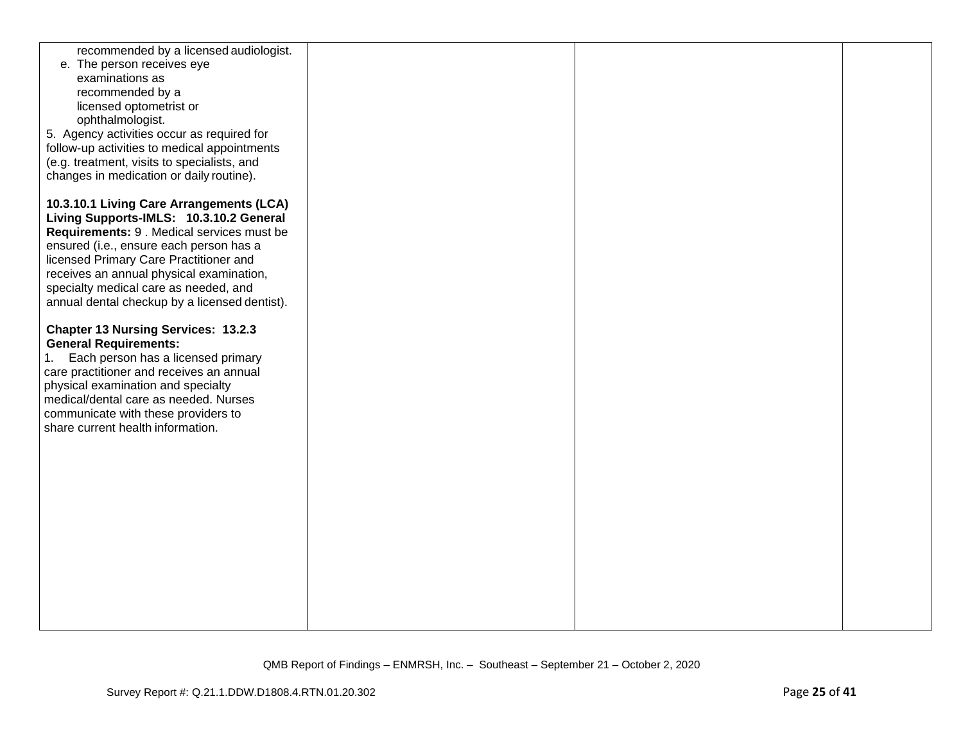| recommended by a licensed audiologist.<br>e. The person receives eye<br>examinations as<br>recommended by a<br>licensed optometrist or<br>ophthalmologist.<br>5. Agency activities occur as required for<br>follow-up activities to medical appointments<br>(e.g. treatment, visits to specialists, and<br>changes in medication or daily routine).          |  |  |
|--------------------------------------------------------------------------------------------------------------------------------------------------------------------------------------------------------------------------------------------------------------------------------------------------------------------------------------------------------------|--|--|
| 10.3.10.1 Living Care Arrangements (LCA)<br>Living Supports-IMLS: 10.3.10.2 General<br>Requirements: 9 . Medical services must be<br>ensured (i.e., ensure each person has a<br>licensed Primary Care Practitioner and<br>receives an annual physical examination,<br>specialty medical care as needed, and<br>annual dental checkup by a licensed dentist). |  |  |
| <b>Chapter 13 Nursing Services: 13.2.3</b><br><b>General Requirements:</b><br>Each person has a licensed primary<br>1.<br>care practitioner and receives an annual<br>physical examination and specialty<br>medical/dental care as needed. Nurses<br>communicate with these providers to<br>share current health information.                                |  |  |
|                                                                                                                                                                                                                                                                                                                                                              |  |  |
|                                                                                                                                                                                                                                                                                                                                                              |  |  |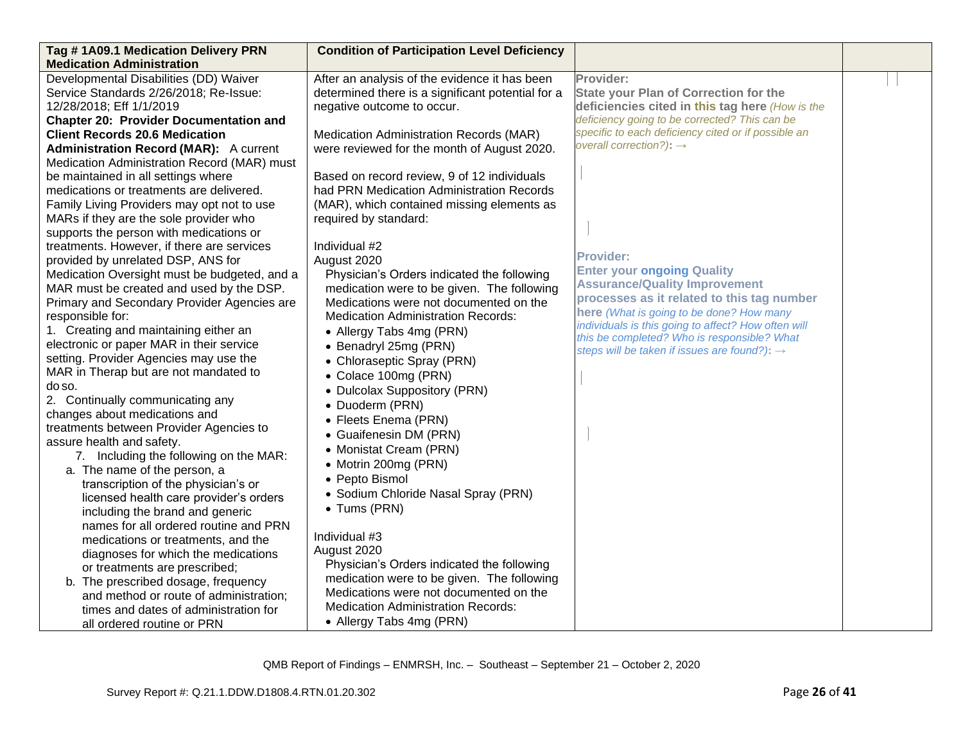| Tag #1A09.1 Medication Delivery PRN                                 | <b>Condition of Participation Level Deficiency</b> |                                                          |  |
|---------------------------------------------------------------------|----------------------------------------------------|----------------------------------------------------------|--|
| <b>Medication Administration</b>                                    |                                                    |                                                          |  |
| Developmental Disabilities (DD) Waiver                              | After an analysis of the evidence it has been      | Provider:                                                |  |
| Service Standards 2/26/2018; Re-Issue:                              | determined there is a significant potential for a  | <b>State your Plan of Correction for the</b>             |  |
| 12/28/2018; Eff 1/1/2019                                            | negative outcome to occur.                         | deficiencies cited in this tag here (How is the          |  |
| <b>Chapter 20: Provider Documentation and</b>                       |                                                    | deficiency going to be corrected? This can be            |  |
| <b>Client Records 20.6 Medication</b>                               | Medication Administration Records (MAR)            | specific to each deficiency cited or if possible an      |  |
| <b>Administration Record (MAR):</b> A current                       | were reviewed for the month of August 2020.        | overall correction?): $\rightarrow$                      |  |
| Medication Administration Record (MAR) must                         |                                                    |                                                          |  |
| be maintained in all settings where                                 | Based on record review, 9 of 12 individuals        |                                                          |  |
| medications or treatments are delivered.                            | had PRN Medication Administration Records          |                                                          |  |
| Family Living Providers may opt not to use                          | (MAR), which contained missing elements as         |                                                          |  |
| MARs if they are the sole provider who                              | required by standard:                              |                                                          |  |
| supports the person with medications or                             |                                                    |                                                          |  |
| treatments. However, if there are services                          | Individual #2                                      | <b>Provider:</b>                                         |  |
| provided by unrelated DSP, ANS for                                  | August 2020                                        | <b>Enter your ongoing Quality</b>                        |  |
| Medication Oversight must be budgeted, and a                        | Physician's Orders indicated the following         | <b>Assurance/Quality Improvement</b>                     |  |
| MAR must be created and used by the DSP.                            | medication were to be given. The following         | processes as it related to this tag number               |  |
| Primary and Secondary Provider Agencies are                         | Medications were not documented on the             | here (What is going to be done? How many                 |  |
| responsible for:                                                    | <b>Medication Administration Records:</b>          | individuals is this going to affect? How often will      |  |
| 1. Creating and maintaining either an                               | • Allergy Tabs 4mg (PRN)                           | this be completed? Who is responsible? What              |  |
| electronic or paper MAR in their service                            | • Benadryl 25mg (PRN)                              | steps will be taken if issues are found?): $\rightarrow$ |  |
| setting. Provider Agencies may use the                              | • Chloraseptic Spray (PRN)                         |                                                          |  |
| MAR in Therap but are not mandated to                               | • Colace 100mg (PRN)                               |                                                          |  |
| do so.                                                              | • Dulcolax Suppository (PRN)                       |                                                          |  |
| 2. Continually communicating any                                    | • Duoderm (PRN)                                    |                                                          |  |
| changes about medications and                                       | • Fleets Enema (PRN)                               |                                                          |  |
| treatments between Provider Agencies to                             | • Guaifenesin DM (PRN)                             |                                                          |  |
| assure health and safety.                                           | • Monistat Cream (PRN)                             |                                                          |  |
| 7. Including the following on the MAR:                              | • Motrin 200mg (PRN)                               |                                                          |  |
| a. The name of the person, a<br>transcription of the physician's or | • Pepto Bismol                                     |                                                          |  |
| licensed health care provider's orders                              | • Sodium Chloride Nasal Spray (PRN)                |                                                          |  |
| including the brand and generic                                     | • Tums (PRN)                                       |                                                          |  |
| names for all ordered routine and PRN                               |                                                    |                                                          |  |
| medications or treatments, and the                                  | Individual #3                                      |                                                          |  |
| diagnoses for which the medications                                 | August 2020                                        |                                                          |  |
| or treatments are prescribed;                                       | Physician's Orders indicated the following         |                                                          |  |
| b. The prescribed dosage, frequency                                 | medication were to be given. The following         |                                                          |  |
| and method or route of administration;                              | Medications were not documented on the             |                                                          |  |
| times and dates of administration for                               | <b>Medication Administration Records:</b>          |                                                          |  |
|                                                                     |                                                    |                                                          |  |
| all ordered routine or PRN                                          | • Allergy Tabs 4mg (PRN)                           |                                                          |  |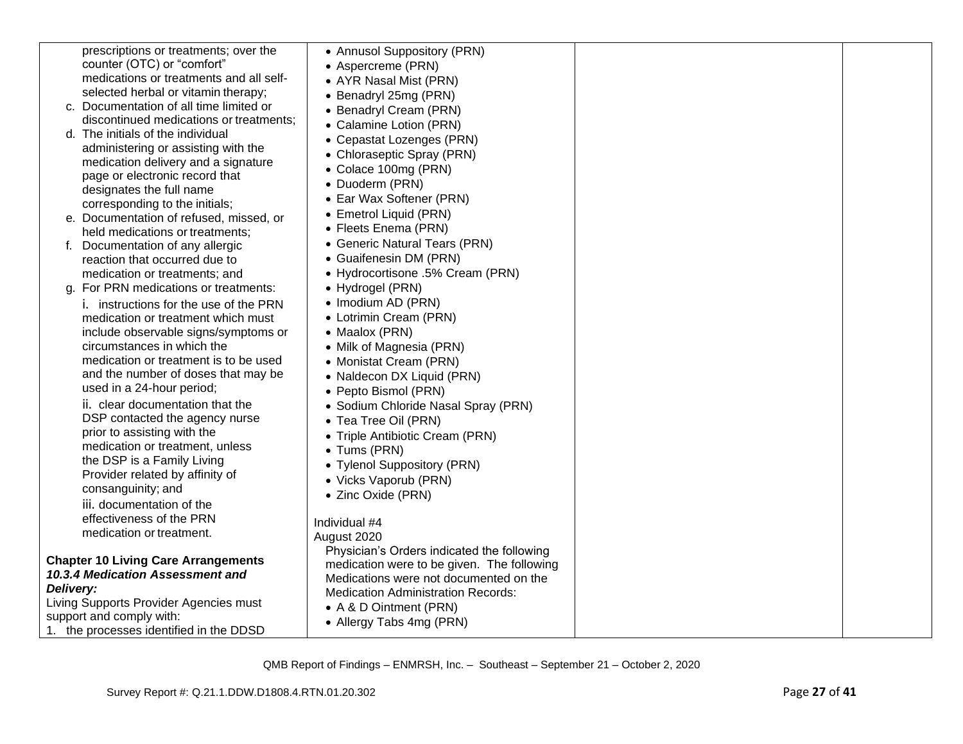| prescriptions or treatments; over the                                          | • Annusol Suppository (PRN)                |  |
|--------------------------------------------------------------------------------|--------------------------------------------|--|
| counter (OTC) or "comfort"                                                     | • Aspercreme (PRN)                         |  |
| medications or treatments and all self-                                        | • AYR Nasal Mist (PRN)                     |  |
| selected herbal or vitamin therapy;                                            | • Benadryl 25mg (PRN)                      |  |
| c. Documentation of all time limited or                                        | • Benadryl Cream (PRN)                     |  |
| discontinued medications or treatments;                                        | • Calamine Lotion (PRN)                    |  |
| d. The initials of the individual                                              | • Cepastat Lozenges (PRN)                  |  |
| administering or assisting with the                                            | • Chloraseptic Spray (PRN)                 |  |
| medication delivery and a signature                                            | • Colace 100mg (PRN)                       |  |
| page or electronic record that                                                 | • Duoderm (PRN)                            |  |
| designates the full name                                                       | • Ear Wax Softener (PRN)                   |  |
| corresponding to the initials;                                                 | • Emetrol Liquid (PRN)                     |  |
| e. Documentation of refused, missed, or                                        | • Fleets Enema (PRN)                       |  |
| held medications or treatments;                                                | • Generic Natural Tears (PRN)              |  |
| Documentation of any allergic                                                  | • Guaifenesin DM (PRN)                     |  |
| reaction that occurred due to                                                  | • Hydrocortisone .5% Cream (PRN)           |  |
| medication or treatments; and                                                  |                                            |  |
| g. For PRN medications or treatments:                                          | • Hydrogel (PRN)                           |  |
| <i>i.</i> instructions for the use of the PRN                                  | • Imodium AD (PRN)                         |  |
| medication or treatment which must                                             | • Lotrimin Cream (PRN)                     |  |
| include observable signs/symptoms or                                           | • Maalox (PRN)                             |  |
| circumstances in which the                                                     | • Milk of Magnesia (PRN)                   |  |
| medication or treatment is to be used                                          | • Monistat Cream (PRN)                     |  |
| and the number of doses that may be                                            | • Naldecon DX Liquid (PRN)                 |  |
| used in a 24-hour period;                                                      | • Pepto Bismol (PRN)                       |  |
| ii. clear documentation that the                                               | · Sodium Chloride Nasal Spray (PRN)        |  |
| DSP contacted the agency nurse                                                 | • Tea Tree Oil (PRN)                       |  |
| prior to assisting with the                                                    | • Triple Antibiotic Cream (PRN)            |  |
| medication or treatment, unless                                                | • Tums (PRN)                               |  |
| the DSP is a Family Living                                                     | • Tylenol Suppository (PRN)                |  |
| Provider related by affinity of                                                | • Vicks Vaporub (PRN)                      |  |
| consanguinity; and                                                             | • Zinc Oxide (PRN)                         |  |
| iii. documentation of the                                                      |                                            |  |
| effectiveness of the PRN                                                       | Individual #4                              |  |
| medication or treatment.                                                       | August 2020                                |  |
|                                                                                | Physician's Orders indicated the following |  |
| <b>Chapter 10 Living Care Arrangements</b><br>10.3.4 Medication Assessment and | medication were to be given. The following |  |
| Delivery:                                                                      | Medications were not documented on the     |  |
| Living Supports Provider Agencies must                                         | <b>Medication Administration Records:</b>  |  |
| support and comply with:                                                       | • A & D Ointment (PRN)                     |  |
| 1. the processes identified in the DDSD                                        | • Allergy Tabs 4mg (PRN)                   |  |
|                                                                                |                                            |  |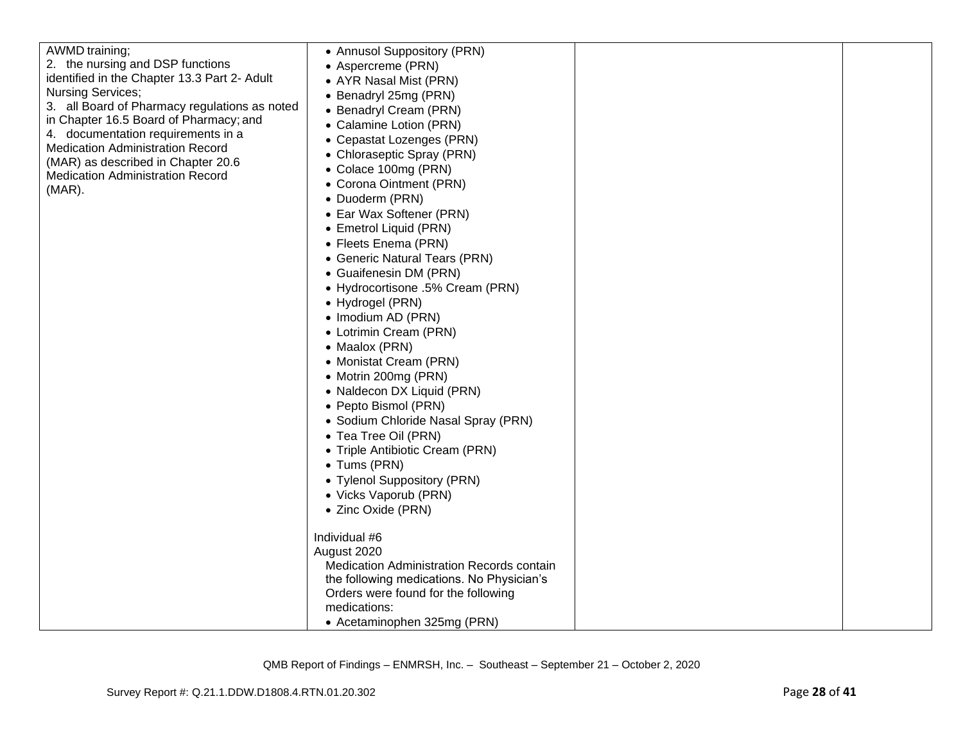| AWMD training;<br>2. the nursing and DSP functions<br>identified in the Chapter 13.3 Part 2- Adult<br><b>Nursing Services;</b><br>3. all Board of Pharmacy regulations as noted<br>in Chapter 16.5 Board of Pharmacy; and<br>4. documentation requirements in a<br><b>Medication Administration Record</b><br>(MAR) as described in Chapter 20.6<br><b>Medication Administration Record</b><br>$(MAR)$ . | • Annusol Suppository (PRN)<br>• Aspercreme (PRN)<br>• AYR Nasal Mist (PRN)<br>• Benadryl 25mg (PRN)<br>• Benadryl Cream (PRN)<br>• Calamine Lotion (PRN)<br>• Cepastat Lozenges (PRN)<br>• Chloraseptic Spray (PRN)<br>• Colace 100mg (PRN)<br>• Corona Ointment (PRN)<br>• Duoderm (PRN)<br>• Ear Wax Softener (PRN)<br>• Emetrol Liquid (PRN)<br>• Fleets Enema (PRN)<br>• Generic Natural Tears (PRN)<br>• Guaifenesin DM (PRN)<br>• Hydrocortisone .5% Cream (PRN)<br>• Hydrogel (PRN)<br>• Imodium AD (PRN)<br>• Lotrimin Cream (PRN)<br>• Maalox (PRN)<br>• Monistat Cream (PRN)<br>• Motrin 200mg (PRN) |  |
|----------------------------------------------------------------------------------------------------------------------------------------------------------------------------------------------------------------------------------------------------------------------------------------------------------------------------------------------------------------------------------------------------------|-----------------------------------------------------------------------------------------------------------------------------------------------------------------------------------------------------------------------------------------------------------------------------------------------------------------------------------------------------------------------------------------------------------------------------------------------------------------------------------------------------------------------------------------------------------------------------------------------------------------|--|
|                                                                                                                                                                                                                                                                                                                                                                                                          | • Naldecon DX Liquid (PRN)<br>• Pepto Bismol (PRN)<br>• Sodium Chloride Nasal Spray (PRN)<br>• Tea Tree Oil (PRN)                                                                                                                                                                                                                                                                                                                                                                                                                                                                                               |  |
|                                                                                                                                                                                                                                                                                                                                                                                                          | • Triple Antibiotic Cream (PRN)<br>• Tums (PRN)<br>• Tylenol Suppository (PRN)<br>• Vicks Vaporub (PRN)<br>• Zinc Oxide (PRN)                                                                                                                                                                                                                                                                                                                                                                                                                                                                                   |  |
|                                                                                                                                                                                                                                                                                                                                                                                                          | Individual #6<br>August 2020<br>Medication Administration Records contain<br>the following medications. No Physician's<br>Orders were found for the following<br>medications:<br>• Acetaminophen 325mg (PRN)                                                                                                                                                                                                                                                                                                                                                                                                    |  |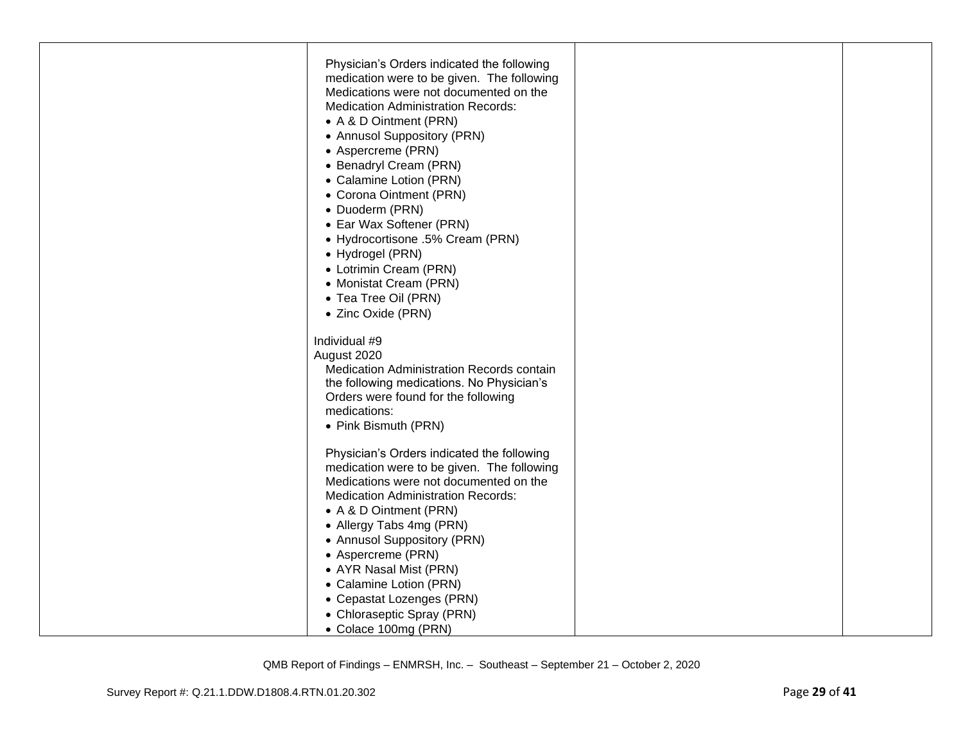| Physician's Orders indicated the following<br>medication were to be given. The following<br>Medications were not documented on the<br><b>Medication Administration Records:</b><br>• A & D Ointment (PRN)<br>• Annusol Suppository (PRN)<br>• Aspercreme (PRN)<br>• Benadryl Cream (PRN)<br>• Calamine Lotion (PRN)<br>• Corona Ointment (PRN)<br>• Duoderm (PRN)<br>• Ear Wax Softener (PRN)<br>• Hydrocortisone .5% Cream (PRN)<br>• Hydrogel (PRN)<br>• Lotrimin Cream (PRN)<br>• Monistat Cream (PRN)<br>• Tea Tree Oil (PRN) |  |
|-----------------------------------------------------------------------------------------------------------------------------------------------------------------------------------------------------------------------------------------------------------------------------------------------------------------------------------------------------------------------------------------------------------------------------------------------------------------------------------------------------------------------------------|--|
| • Zinc Oxide (PRN)<br>Individual #9<br>August 2020<br>Medication Administration Records contain<br>the following medications. No Physician's<br>Orders were found for the following<br>medications:<br>• Pink Bismuth (PRN)                                                                                                                                                                                                                                                                                                       |  |
| Physician's Orders indicated the following<br>medication were to be given. The following<br>Medications were not documented on the<br><b>Medication Administration Records:</b><br>• A & D Ointment (PRN)<br>• Allergy Tabs 4mg (PRN)<br>• Annusol Suppository (PRN)<br>• Aspercreme (PRN)<br>• AYR Nasal Mist (PRN)                                                                                                                                                                                                              |  |
| • Calamine Lotion (PRN)<br>• Cepastat Lozenges (PRN)<br>• Chloraseptic Spray (PRN)<br>• Colace 100mg (PRN)                                                                                                                                                                                                                                                                                                                                                                                                                        |  |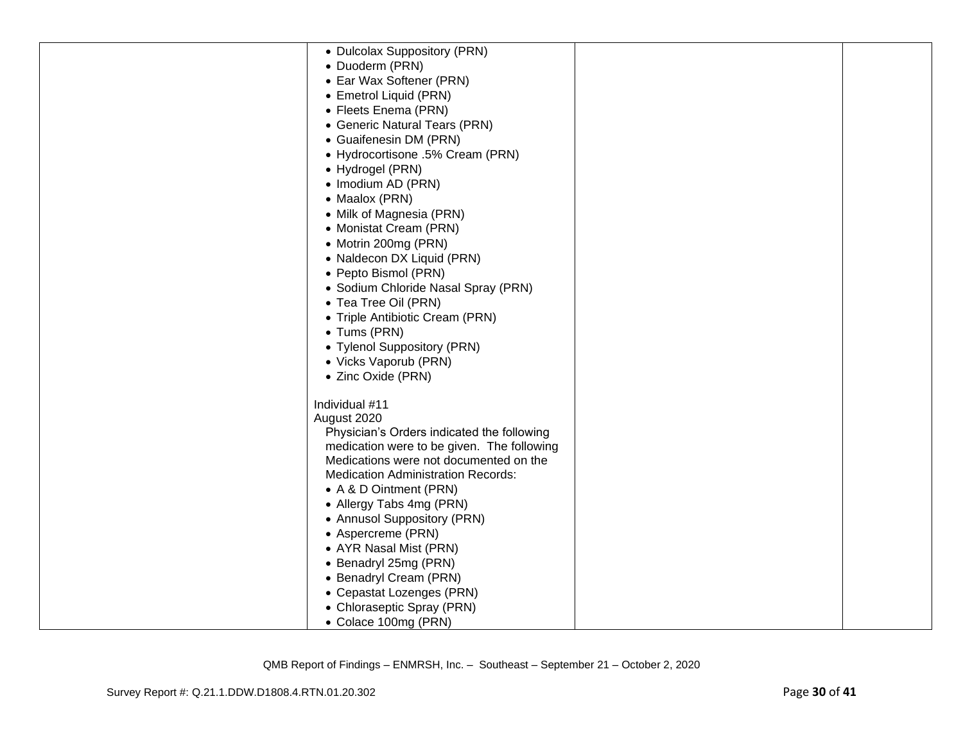| • Dulcolax Suppository (PRN)               |  |
|--------------------------------------------|--|
| • Duoderm (PRN)                            |  |
| • Ear Wax Softener (PRN)                   |  |
| • Emetrol Liquid (PRN)                     |  |
| • Fleets Enema (PRN)                       |  |
| • Generic Natural Tears (PRN)              |  |
| • Guaifenesin DM (PRN)                     |  |
| • Hydrocortisone .5% Cream (PRN)           |  |
| • Hydrogel (PRN)                           |  |
| • Imodium AD (PRN)                         |  |
| • Maalox (PRN)                             |  |
| • Milk of Magnesia (PRN)                   |  |
| • Monistat Cream (PRN)                     |  |
| • Motrin 200mg (PRN)                       |  |
| • Naldecon DX Liquid (PRN)                 |  |
| • Pepto Bismol (PRN)                       |  |
| • Sodium Chloride Nasal Spray (PRN)        |  |
| • Tea Tree Oil (PRN)                       |  |
| • Triple Antibiotic Cream (PRN)            |  |
| • Tums (PRN)                               |  |
| • Tylenol Suppository (PRN)                |  |
| • Vicks Vaporub (PRN)                      |  |
| • Zinc Oxide (PRN)                         |  |
|                                            |  |
| Individual #11                             |  |
| August 2020                                |  |
| Physician's Orders indicated the following |  |
| medication were to be given. The following |  |
| Medications were not documented on the     |  |
| <b>Medication Administration Records:</b>  |  |
| • A & D Ointment (PRN)                     |  |
| • Allergy Tabs 4mg (PRN)                   |  |
| • Annusol Suppository (PRN)                |  |
| • Aspercreme (PRN)                         |  |
| • AYR Nasal Mist (PRN)                     |  |
| • Benadryl 25mg (PRN)                      |  |
| • Benadryl Cream (PRN)                     |  |
| • Cepastat Lozenges (PRN)                  |  |
| • Chloraseptic Spray (PRN)                 |  |
| • Colace 100mg (PRN)                       |  |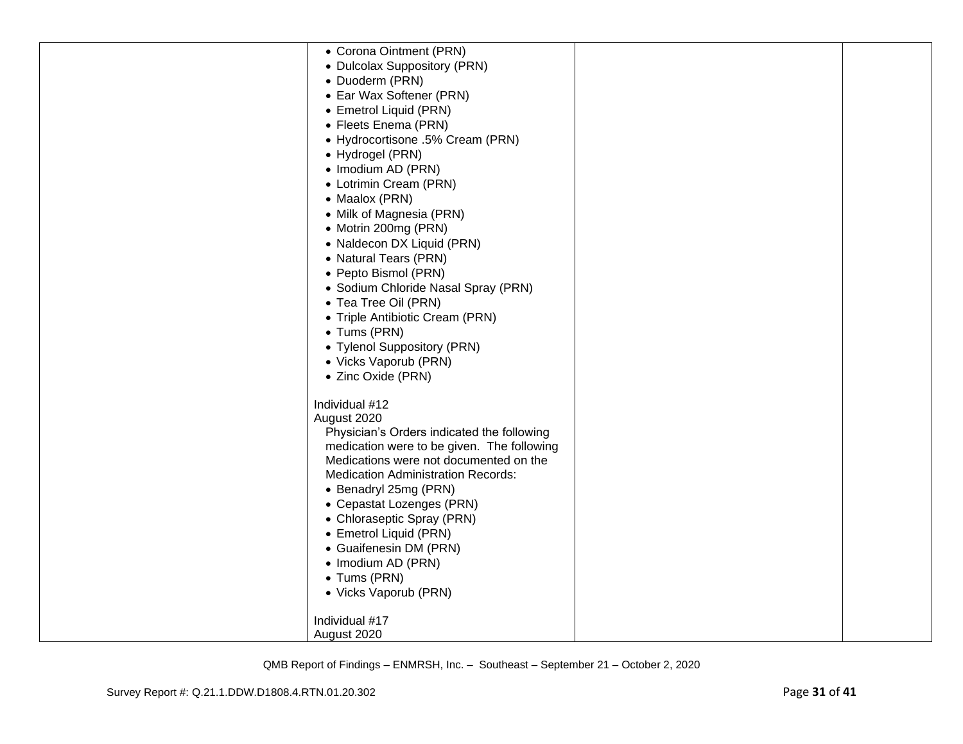| • Corona Ointment (PRN)                    |  |
|--------------------------------------------|--|
| • Dulcolax Suppository (PRN)               |  |
| • Duoderm (PRN)                            |  |
| • Ear Wax Softener (PRN)                   |  |
| • Emetrol Liquid (PRN)                     |  |
|                                            |  |
| • Fleets Enema (PRN)                       |  |
| • Hydrocortisone .5% Cream (PRN)           |  |
| • Hydrogel (PRN)                           |  |
| • Imodium AD (PRN)                         |  |
| • Lotrimin Cream (PRN)                     |  |
| • Maalox (PRN)                             |  |
| • Milk of Magnesia (PRN)                   |  |
| • Motrin 200mg (PRN)                       |  |
| • Naldecon DX Liquid (PRN)                 |  |
| • Natural Tears (PRN)                      |  |
| • Pepto Bismol (PRN)                       |  |
| • Sodium Chloride Nasal Spray (PRN)        |  |
| • Tea Tree Oil (PRN)                       |  |
| • Triple Antibiotic Cream (PRN)            |  |
| • Tums (PRN)                               |  |
| • Tylenol Suppository (PRN)                |  |
|                                            |  |
| • Vicks Vaporub (PRN)                      |  |
| • Zinc Oxide (PRN)                         |  |
| Individual #12                             |  |
| August 2020                                |  |
| Physician's Orders indicated the following |  |
| medication were to be given. The following |  |
| Medications were not documented on the     |  |
| <b>Medication Administration Records:</b>  |  |
| • Benadryl 25mg (PRN)                      |  |
| • Cepastat Lozenges (PRN)                  |  |
| • Chloraseptic Spray (PRN)                 |  |
|                                            |  |
| • Emetrol Liquid (PRN)                     |  |
| • Guaifenesin DM (PRN)                     |  |
| • Imodium AD (PRN)                         |  |
| • Tums (PRN)                               |  |
| • Vicks Vaporub (PRN)                      |  |
| Individual #17                             |  |
| August 2020                                |  |
|                                            |  |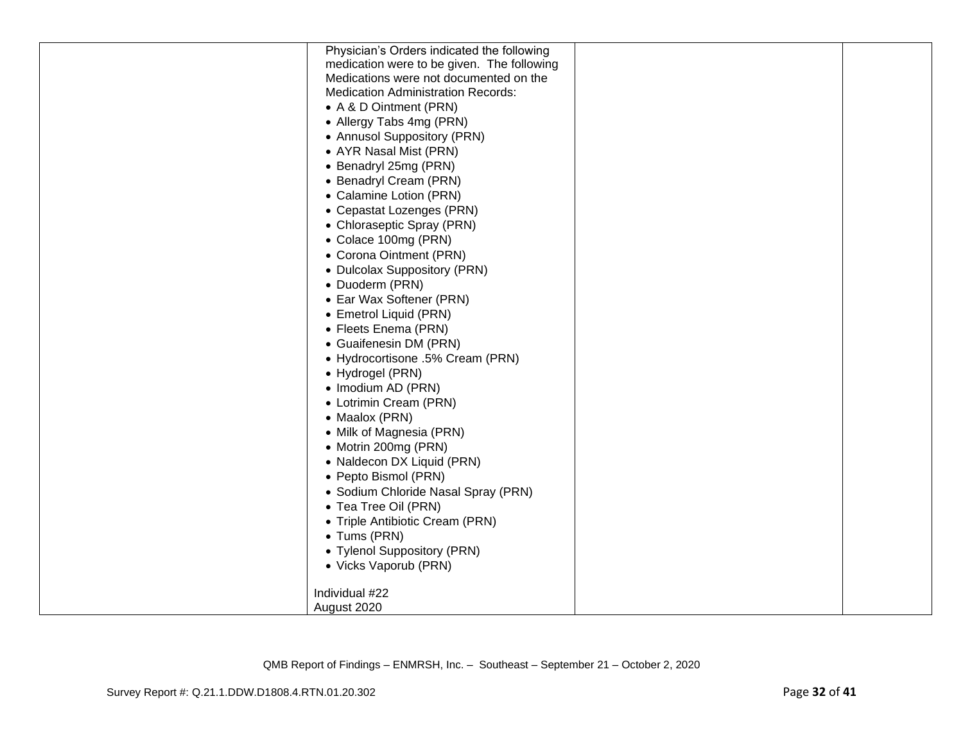| Physician's Orders indicated the following |  |
|--------------------------------------------|--|
| medication were to be given. The following |  |
| Medications were not documented on the     |  |
| <b>Medication Administration Records:</b>  |  |
| • A & D Ointment (PRN)                     |  |
| • Allergy Tabs 4mg (PRN)                   |  |
| • Annusol Suppository (PRN)                |  |
| • AYR Nasal Mist (PRN)                     |  |
| • Benadryl 25mg (PRN)                      |  |
| • Benadryl Cream (PRN)                     |  |
| • Calamine Lotion (PRN)                    |  |
| • Cepastat Lozenges (PRN)                  |  |
| • Chloraseptic Spray (PRN)                 |  |
| • Colace 100mg (PRN)                       |  |
| • Corona Ointment (PRN)                    |  |
| • Dulcolax Suppository (PRN)               |  |
| • Duoderm (PRN)                            |  |
| • Ear Wax Softener (PRN)                   |  |
| • Emetrol Liquid (PRN)                     |  |
| • Fleets Enema (PRN)                       |  |
| • Guaifenesin DM (PRN)                     |  |
| • Hydrocortisone .5% Cream (PRN)           |  |
| • Hydrogel (PRN)                           |  |
| • Imodium AD (PRN)                         |  |
| • Lotrimin Cream (PRN)                     |  |
| • Maalox (PRN)                             |  |
| • Milk of Magnesia (PRN)                   |  |
| • Motrin 200mg (PRN)                       |  |
| • Naldecon DX Liquid (PRN)                 |  |
| • Pepto Bismol (PRN)                       |  |
| • Sodium Chloride Nasal Spray (PRN)        |  |
| • Tea Tree Oil (PRN)                       |  |
| • Triple Antibiotic Cream (PRN)            |  |
| • Tums (PRN)                               |  |
| • Tylenol Suppository (PRN)                |  |
| • Vicks Vaporub (PRN)                      |  |
| Individual #22                             |  |
| August 2020                                |  |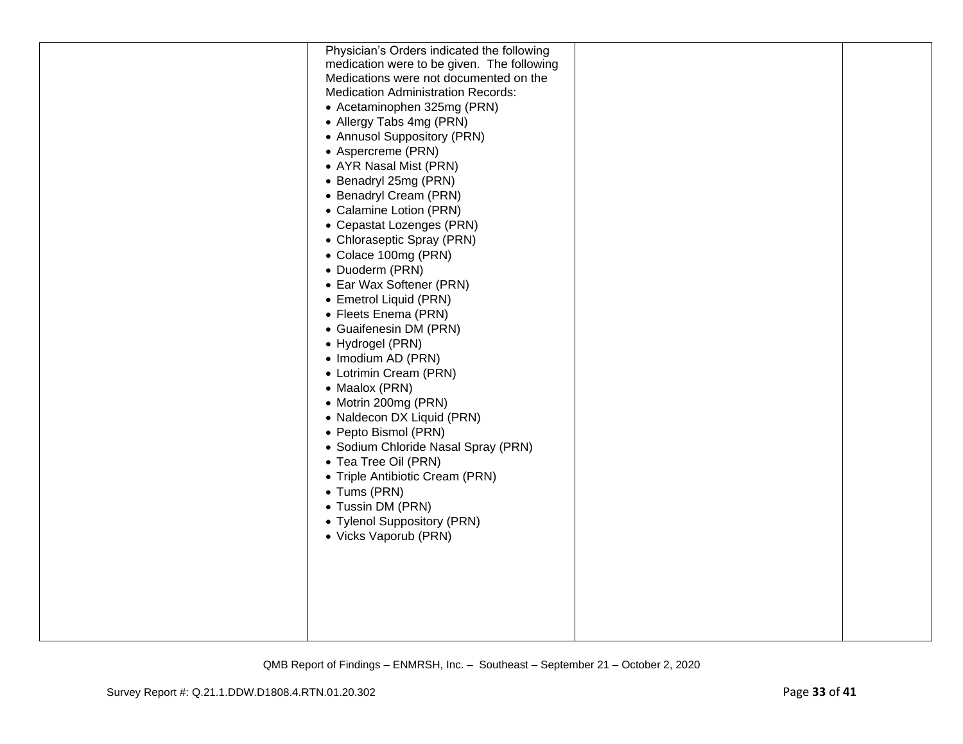| Physician's Orders indicated the following<br>medication were to be given. The following<br>Medications were not documented on the<br><b>Medication Administration Records:</b><br>• Acetaminophen 325mg (PRN)<br>• Allergy Tabs 4mg (PRN)                                                                                                  |  |
|---------------------------------------------------------------------------------------------------------------------------------------------------------------------------------------------------------------------------------------------------------------------------------------------------------------------------------------------|--|
| • Annusol Suppository (PRN)<br>• Aspercreme (PRN)<br>• AYR Nasal Mist (PRN)<br>• Benadryl 25mg (PRN)<br>• Benadryl Cream (PRN)<br>• Calamine Lotion (PRN)<br>• Cepastat Lozenges (PRN)                                                                                                                                                      |  |
| • Chloraseptic Spray (PRN)<br>• Colace 100mg (PRN)<br>• Duoderm (PRN)<br>• Ear Wax Softener (PRN)<br>• Emetrol Liquid (PRN)<br>• Fleets Enema (PRN)<br>• Guaifenesin DM (PRN)<br>• Hydrogel (PRN)                                                                                                                                           |  |
| • Imodium AD (PRN)<br>• Lotrimin Cream (PRN)<br>• Maalox (PRN)<br>• Motrin 200mg (PRN)<br>• Naldecon DX Liquid (PRN)<br>• Pepto Bismol (PRN)<br>• Sodium Chloride Nasal Spray (PRN)<br>• Tea Tree Oil (PRN)<br>• Triple Antibiotic Cream (PRN)<br>• Tums (PRN)<br>• Tussin DM (PRN)<br>• Tylenol Suppository (PRN)<br>• Vicks Vaporub (PRN) |  |
|                                                                                                                                                                                                                                                                                                                                             |  |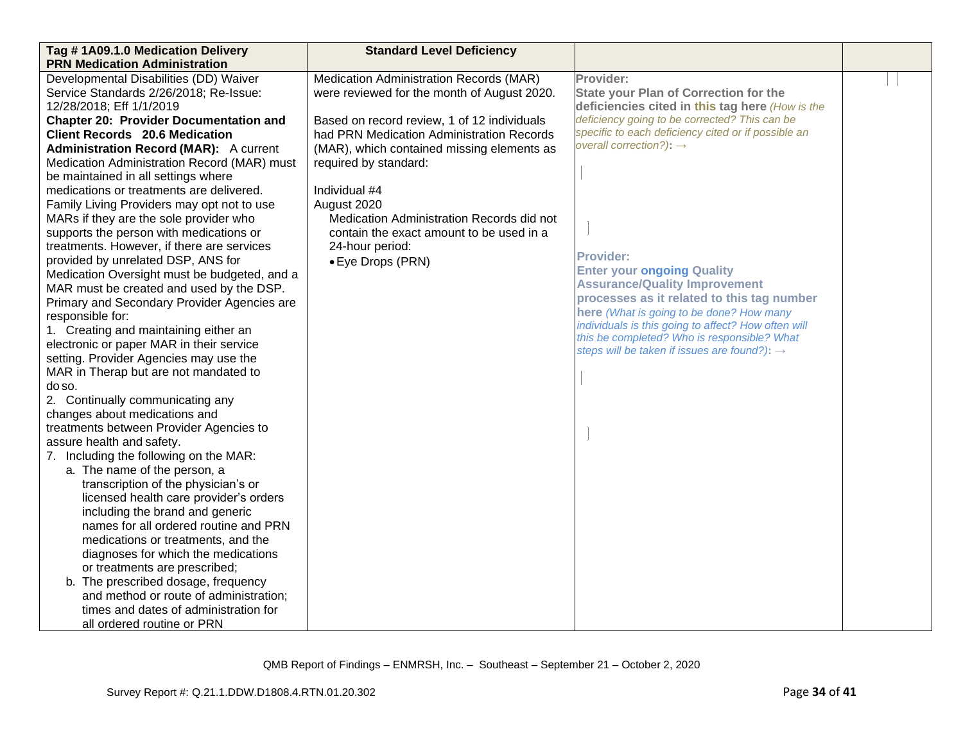| Tag #1A09.1.0 Medication Delivery             | <b>Standard Level Deficiency</b>            |                                                                                                    |  |
|-----------------------------------------------|---------------------------------------------|----------------------------------------------------------------------------------------------------|--|
| <b>PRN Medication Administration</b>          |                                             |                                                                                                    |  |
| Developmental Disabilities (DD) Waiver        | Medication Administration Records (MAR)     | Provider:                                                                                          |  |
| Service Standards 2/26/2018; Re-Issue:        | were reviewed for the month of August 2020. | <b>State your Plan of Correction for the</b>                                                       |  |
| 12/28/2018; Eff 1/1/2019                      |                                             | deficiencies cited in this tag here (How is the                                                    |  |
| <b>Chapter 20: Provider Documentation and</b> | Based on record review, 1 of 12 individuals | deficiency going to be corrected? This can be                                                      |  |
| <b>Client Records 20.6 Medication</b>         | had PRN Medication Administration Records   | specific to each deficiency cited or if possible an                                                |  |
| <b>Administration Record (MAR):</b> A current | (MAR), which contained missing elements as  | overall correction?): $\rightarrow$                                                                |  |
| Medication Administration Record (MAR) must   | required by standard:                       |                                                                                                    |  |
| be maintained in all settings where           |                                             |                                                                                                    |  |
| medications or treatments are delivered.      | Individual #4                               |                                                                                                    |  |
| Family Living Providers may opt not to use    | August 2020                                 |                                                                                                    |  |
| MARs if they are the sole provider who        | Medication Administration Records did not   |                                                                                                    |  |
| supports the person with medications or       | contain the exact amount to be used in a    |                                                                                                    |  |
| treatments. However, if there are services    | 24-hour period:                             |                                                                                                    |  |
| provided by unrelated DSP, ANS for            | • Eye Drops (PRN)                           | <b>Provider:</b>                                                                                   |  |
| Medication Oversight must be budgeted, and a  |                                             | <b>Enter your ongoing Quality</b>                                                                  |  |
| MAR must be created and used by the DSP.      |                                             | <b>Assurance/Quality Improvement</b>                                                               |  |
| Primary and Secondary Provider Agencies are   |                                             | processes as it related to this tag number                                                         |  |
| responsible for:                              |                                             | here (What is going to be done? How many                                                           |  |
| 1. Creating and maintaining either an         |                                             | individuals is this going to affect? How often will<br>this be completed? Who is responsible? What |  |
| electronic or paper MAR in their service      |                                             | steps will be taken if issues are found?): $\rightarrow$                                           |  |
| setting. Provider Agencies may use the        |                                             |                                                                                                    |  |
| MAR in Therap but are not mandated to         |                                             |                                                                                                    |  |
| do so.                                        |                                             |                                                                                                    |  |
| 2. Continually communicating any              |                                             |                                                                                                    |  |
| changes about medications and                 |                                             |                                                                                                    |  |
| treatments between Provider Agencies to       |                                             |                                                                                                    |  |
| assure health and safety.                     |                                             |                                                                                                    |  |
| 7. Including the following on the MAR:        |                                             |                                                                                                    |  |
| a. The name of the person, a                  |                                             |                                                                                                    |  |
| transcription of the physician's or           |                                             |                                                                                                    |  |
| licensed health care provider's orders        |                                             |                                                                                                    |  |
| including the brand and generic               |                                             |                                                                                                    |  |
| names for all ordered routine and PRN         |                                             |                                                                                                    |  |
| medications or treatments, and the            |                                             |                                                                                                    |  |
| diagnoses for which the medications           |                                             |                                                                                                    |  |
| or treatments are prescribed;                 |                                             |                                                                                                    |  |
| b. The prescribed dosage, frequency           |                                             |                                                                                                    |  |
| and method or route of administration;        |                                             |                                                                                                    |  |
| times and dates of administration for         |                                             |                                                                                                    |  |
| all ordered routine or PRN                    |                                             |                                                                                                    |  |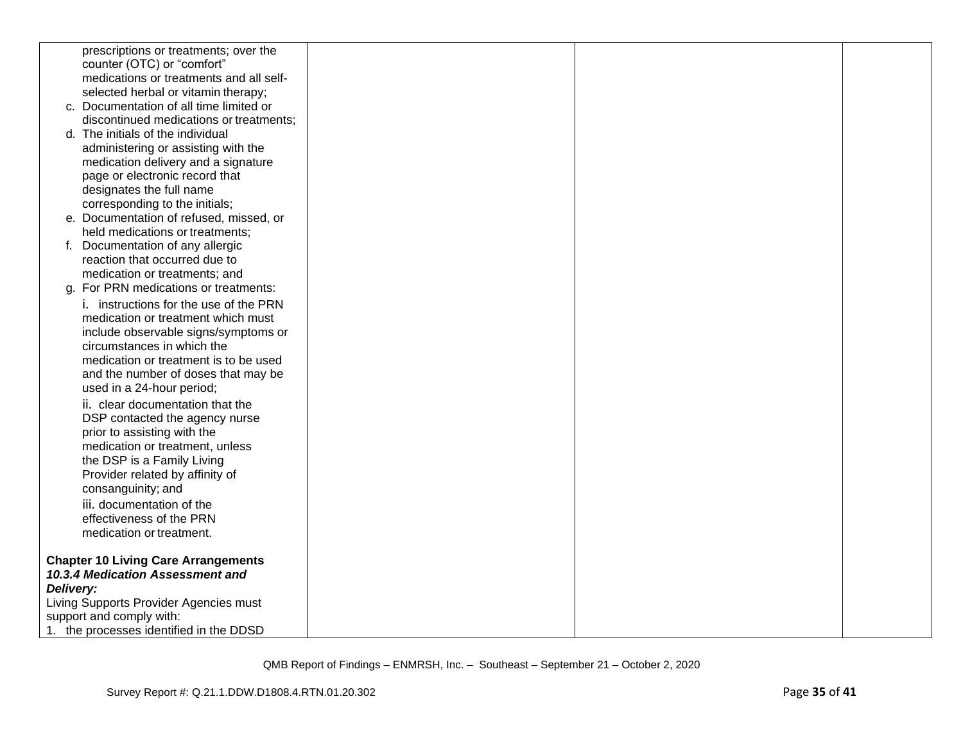|           | prescriptions or treatments; over the         |  |  |
|-----------|-----------------------------------------------|--|--|
|           | counter (OTC) or "comfort"                    |  |  |
|           | medications or treatments and all self-       |  |  |
|           | selected herbal or vitamin therapy;           |  |  |
|           | c. Documentation of all time limited or       |  |  |
|           | discontinued medications or treatments;       |  |  |
|           | d. The initials of the individual             |  |  |
|           | administering or assisting with the           |  |  |
|           | medication delivery and a signature           |  |  |
|           | page or electronic record that                |  |  |
|           | designates the full name                      |  |  |
|           | corresponding to the initials;                |  |  |
|           | e. Documentation of refused, missed, or       |  |  |
|           | held medications or treatments;               |  |  |
|           | f. Documentation of any allergic              |  |  |
|           | reaction that occurred due to                 |  |  |
|           | medication or treatments; and                 |  |  |
|           | g. For PRN medications or treatments:         |  |  |
|           | <i>i.</i> instructions for the use of the PRN |  |  |
|           | medication or treatment which must            |  |  |
|           | include observable signs/symptoms or          |  |  |
|           | circumstances in which the                    |  |  |
|           | medication or treatment is to be used         |  |  |
|           | and the number of doses that may be           |  |  |
|           | used in a 24-hour period;                     |  |  |
|           | ii. clear documentation that the              |  |  |
|           | DSP contacted the agency nurse                |  |  |
|           | prior to assisting with the                   |  |  |
|           | medication or treatment, unless               |  |  |
|           | the DSP is a Family Living                    |  |  |
|           | Provider related by affinity of               |  |  |
|           | consanguinity; and                            |  |  |
|           | iii. documentation of the                     |  |  |
|           | effectiveness of the PRN                      |  |  |
|           | medication or treatment.                      |  |  |
|           | <b>Chapter 10 Living Care Arrangements</b>    |  |  |
|           | 10.3.4 Medication Assessment and              |  |  |
| Delivery: |                                               |  |  |
|           | Living Supports Provider Agencies must        |  |  |
|           | support and comply with:                      |  |  |
|           | 1. the processes identified in the DDSD       |  |  |
|           |                                               |  |  |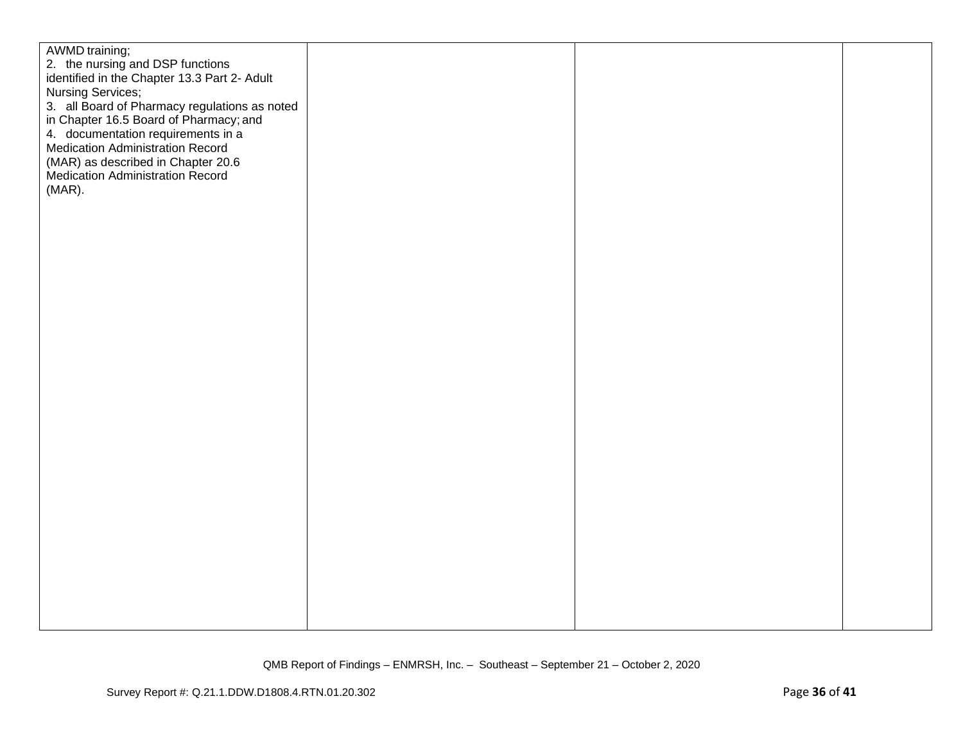| AWMD training;                                |  |  |
|-----------------------------------------------|--|--|
| 2. the nursing and DSP functions              |  |  |
| identified in the Chapter 13.3 Part 2- Adult  |  |  |
| Nursing Services;                             |  |  |
| 3. all Board of Pharmacy regulations as noted |  |  |
| in Chapter 16.5 Board of Pharmacy; and        |  |  |
| 4. documentation requirements in a            |  |  |
| <b>Medication Administration Record</b>       |  |  |
|                                               |  |  |
| (MAR) as described in Chapter 20.6            |  |  |
| <b>Medication Administration Record</b>       |  |  |
| $(MAR)$ .                                     |  |  |
|                                               |  |  |
|                                               |  |  |
|                                               |  |  |
|                                               |  |  |
|                                               |  |  |
|                                               |  |  |
|                                               |  |  |
|                                               |  |  |
|                                               |  |  |
|                                               |  |  |
|                                               |  |  |
|                                               |  |  |
|                                               |  |  |
|                                               |  |  |
|                                               |  |  |
|                                               |  |  |
|                                               |  |  |
|                                               |  |  |
|                                               |  |  |
|                                               |  |  |
|                                               |  |  |
|                                               |  |  |
|                                               |  |  |
|                                               |  |  |
|                                               |  |  |
|                                               |  |  |
|                                               |  |  |
|                                               |  |  |
|                                               |  |  |
|                                               |  |  |
|                                               |  |  |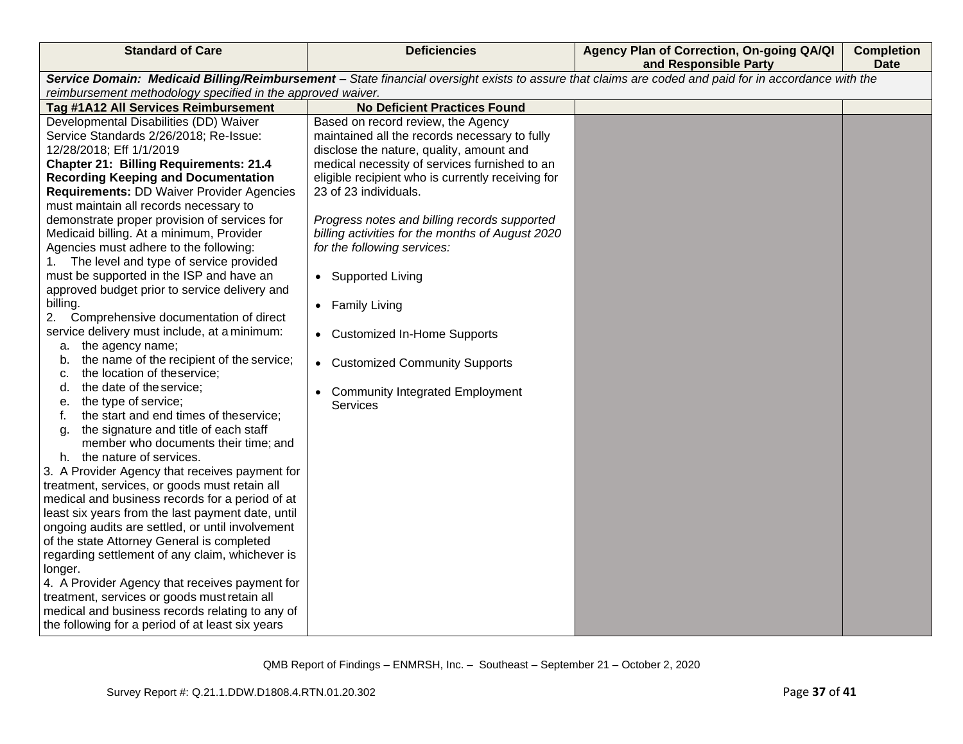| <b>Standard of Care</b>                                                         | <b>Deficiencies</b>                               | Agency Plan of Correction, On-going QA/QI<br>and Responsible Party                                                                                    | <b>Completion</b><br><b>Date</b> |
|---------------------------------------------------------------------------------|---------------------------------------------------|-------------------------------------------------------------------------------------------------------------------------------------------------------|----------------------------------|
|                                                                                 |                                                   | Service Domain: Medicaid Billing/Reimbursement - State financial oversight exists to assure that claims are coded and paid for in accordance with the |                                  |
| reimbursement methodology specified in the approved waiver.                     |                                                   |                                                                                                                                                       |                                  |
| Tag #1A12 All Services Reimbursement                                            | <b>No Deficient Practices Found</b>               |                                                                                                                                                       |                                  |
| Developmental Disabilities (DD) Waiver                                          | Based on record review, the Agency                |                                                                                                                                                       |                                  |
| Service Standards 2/26/2018; Re-Issue:                                          | maintained all the records necessary to fully     |                                                                                                                                                       |                                  |
| 12/28/2018; Eff 1/1/2019                                                        | disclose the nature, quality, amount and          |                                                                                                                                                       |                                  |
| <b>Chapter 21: Billing Requirements: 21.4</b>                                   | medical necessity of services furnished to an     |                                                                                                                                                       |                                  |
| <b>Recording Keeping and Documentation</b>                                      | eligible recipient who is currently receiving for |                                                                                                                                                       |                                  |
| <b>Requirements: DD Waiver Provider Agencies</b>                                | 23 of 23 individuals.                             |                                                                                                                                                       |                                  |
| must maintain all records necessary to                                          |                                                   |                                                                                                                                                       |                                  |
| demonstrate proper provision of services for                                    | Progress notes and billing records supported      |                                                                                                                                                       |                                  |
| Medicaid billing. At a minimum, Provider                                        | billing activities for the months of August 2020  |                                                                                                                                                       |                                  |
| Agencies must adhere to the following:                                          | for the following services:                       |                                                                                                                                                       |                                  |
| The level and type of service provided<br>1.                                    |                                                   |                                                                                                                                                       |                                  |
| must be supported in the ISP and have an                                        | • Supported Living                                |                                                                                                                                                       |                                  |
| approved budget prior to service delivery and                                   |                                                   |                                                                                                                                                       |                                  |
| billing.                                                                        | • Family Living                                   |                                                                                                                                                       |                                  |
| 2.<br>Comprehensive documentation of direct                                     |                                                   |                                                                                                                                                       |                                  |
| service delivery must include, at a minimum:                                    | • Customized In-Home Supports                     |                                                                                                                                                       |                                  |
| a. the agency name;                                                             |                                                   |                                                                                                                                                       |                                  |
| the name of the recipient of the service;<br>b.<br>the location of the service; | • Customized Community Supports                   |                                                                                                                                                       |                                  |
| с.<br>the date of the service;<br>d.                                            |                                                   |                                                                                                                                                       |                                  |
| the type of service;<br>е.                                                      | <b>Community Integrated Employment</b>            |                                                                                                                                                       |                                  |
| the start and end times of theservice;<br>f.                                    | <b>Services</b>                                   |                                                                                                                                                       |                                  |
| the signature and title of each staff<br>g.                                     |                                                   |                                                                                                                                                       |                                  |
| member who documents their time; and                                            |                                                   |                                                                                                                                                       |                                  |
| h. the nature of services.                                                      |                                                   |                                                                                                                                                       |                                  |
| 3. A Provider Agency that receives payment for                                  |                                                   |                                                                                                                                                       |                                  |
| treatment, services, or goods must retain all                                   |                                                   |                                                                                                                                                       |                                  |
| medical and business records for a period of at                                 |                                                   |                                                                                                                                                       |                                  |
| least six years from the last payment date, until                               |                                                   |                                                                                                                                                       |                                  |
| ongoing audits are settled, or until involvement                                |                                                   |                                                                                                                                                       |                                  |
| of the state Attorney General is completed                                      |                                                   |                                                                                                                                                       |                                  |
| regarding settlement of any claim, whichever is                                 |                                                   |                                                                                                                                                       |                                  |
| longer.                                                                         |                                                   |                                                                                                                                                       |                                  |
| 4. A Provider Agency that receives payment for                                  |                                                   |                                                                                                                                                       |                                  |
| treatment, services or goods must retain all                                    |                                                   |                                                                                                                                                       |                                  |
| medical and business records relating to any of                                 |                                                   |                                                                                                                                                       |                                  |
| the following for a period of at least six years                                |                                                   |                                                                                                                                                       |                                  |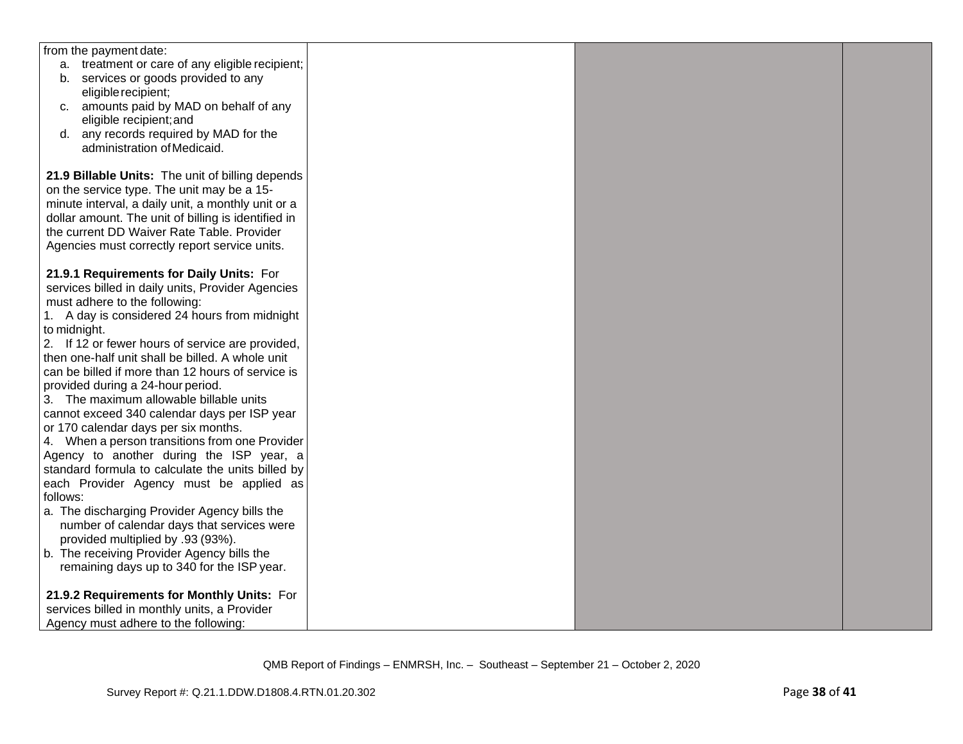| from the payment date:<br>a. treatment or care of any eligible recipient;<br>b. services or goods provided to any<br>eligible recipient;<br>c. amounts paid by MAD on behalf of any<br>eligible recipient; and<br>d. any records required by MAD for the<br>administration of Medicaid. |
|-----------------------------------------------------------------------------------------------------------------------------------------------------------------------------------------------------------------------------------------------------------------------------------------|
|                                                                                                                                                                                                                                                                                         |
|                                                                                                                                                                                                                                                                                         |
|                                                                                                                                                                                                                                                                                         |
|                                                                                                                                                                                                                                                                                         |
|                                                                                                                                                                                                                                                                                         |
|                                                                                                                                                                                                                                                                                         |
|                                                                                                                                                                                                                                                                                         |
|                                                                                                                                                                                                                                                                                         |
|                                                                                                                                                                                                                                                                                         |
| 21.9 Billable Units: The unit of billing depends                                                                                                                                                                                                                                        |
| on the service type. The unit may be a 15-                                                                                                                                                                                                                                              |
| minute interval, a daily unit, a monthly unit or a                                                                                                                                                                                                                                      |
| dollar amount. The unit of billing is identified in                                                                                                                                                                                                                                     |
| the current DD Waiver Rate Table. Provider                                                                                                                                                                                                                                              |
| Agencies must correctly report service units.                                                                                                                                                                                                                                           |
|                                                                                                                                                                                                                                                                                         |
| 21.9.1 Requirements for Daily Units: For                                                                                                                                                                                                                                                |
| services billed in daily units, Provider Agencies                                                                                                                                                                                                                                       |
| must adhere to the following:                                                                                                                                                                                                                                                           |
| 1. A day is considered 24 hours from midnight                                                                                                                                                                                                                                           |
| to midnight.                                                                                                                                                                                                                                                                            |
| 2. If 12 or fewer hours of service are provided,                                                                                                                                                                                                                                        |
| then one-half unit shall be billed. A whole unit                                                                                                                                                                                                                                        |
| can be billed if more than 12 hours of service is                                                                                                                                                                                                                                       |
| provided during a 24-hour period.                                                                                                                                                                                                                                                       |
| 3. The maximum allowable billable units                                                                                                                                                                                                                                                 |
| cannot exceed 340 calendar days per ISP year                                                                                                                                                                                                                                            |
| or 170 calendar days per six months.                                                                                                                                                                                                                                                    |
| 4. When a person transitions from one Provider                                                                                                                                                                                                                                          |
| Agency to another during the ISP year, a                                                                                                                                                                                                                                                |
| standard formula to calculate the units billed by                                                                                                                                                                                                                                       |
| each Provider Agency must be applied as                                                                                                                                                                                                                                                 |
| follows:                                                                                                                                                                                                                                                                                |
| a. The discharging Provider Agency bills the                                                                                                                                                                                                                                            |
| number of calendar days that services were                                                                                                                                                                                                                                              |
| provided multiplied by .93 (93%).                                                                                                                                                                                                                                                       |
| b. The receiving Provider Agency bills the                                                                                                                                                                                                                                              |
| remaining days up to 340 for the ISP year.                                                                                                                                                                                                                                              |
|                                                                                                                                                                                                                                                                                         |
| 21.9.2 Requirements for Monthly Units: For                                                                                                                                                                                                                                              |
| services billed in monthly units, a Provider                                                                                                                                                                                                                                            |
| Agency must adhere to the following:                                                                                                                                                                                                                                                    |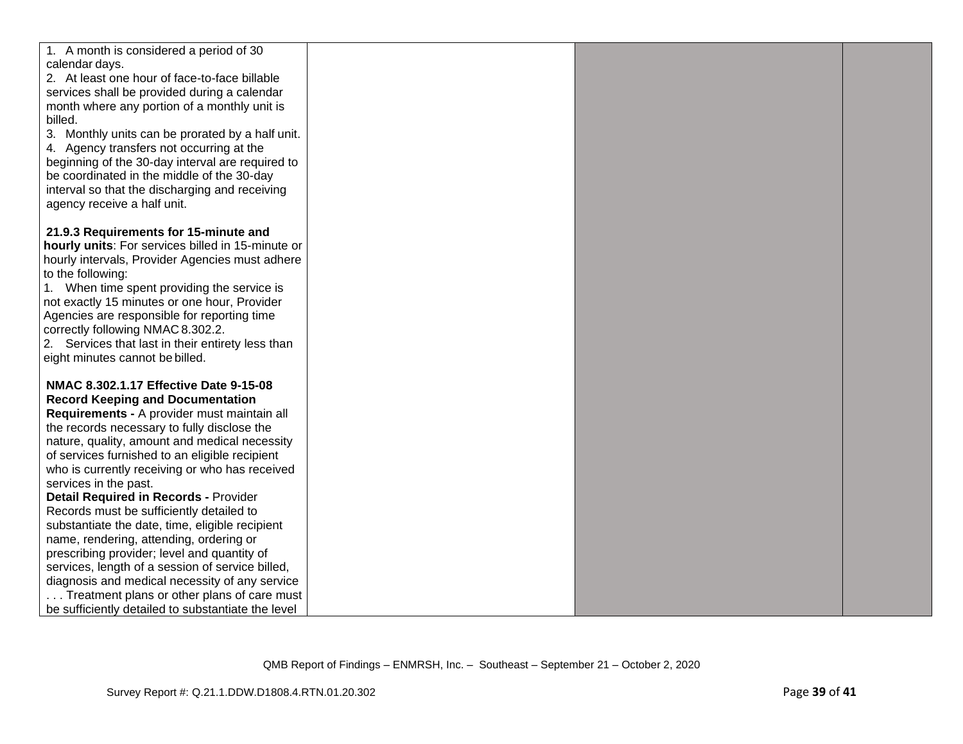| 1. A month is considered a period of 30                                                            |  |  |
|----------------------------------------------------------------------------------------------------|--|--|
| calendar days.<br>2. At least one hour of face-to-face billable                                    |  |  |
| services shall be provided during a calendar                                                       |  |  |
| month where any portion of a monthly unit is                                                       |  |  |
| billed.                                                                                            |  |  |
| 3. Monthly units can be prorated by a half unit.                                                   |  |  |
| 4. Agency transfers not occurring at the                                                           |  |  |
| beginning of the 30-day interval are required to                                                   |  |  |
| be coordinated in the middle of the 30-day                                                         |  |  |
| interval so that the discharging and receiving                                                     |  |  |
| agency receive a half unit.                                                                        |  |  |
| 21.9.3 Requirements for 15-minute and                                                              |  |  |
| hourly units: For services billed in 15-minute or                                                  |  |  |
| hourly intervals, Provider Agencies must adhere                                                    |  |  |
| to the following:                                                                                  |  |  |
| 1. When time spent providing the service is                                                        |  |  |
| not exactly 15 minutes or one hour, Provider                                                       |  |  |
| Agencies are responsible for reporting time                                                        |  |  |
| correctly following NMAC 8.302.2.                                                                  |  |  |
| 2. Services that last in their entirety less than<br>eight minutes cannot be billed.               |  |  |
|                                                                                                    |  |  |
| NMAC 8.302.1.17 Effective Date 9-15-08                                                             |  |  |
| <b>Record Keeping and Documentation</b>                                                            |  |  |
| Requirements - A provider must maintain all                                                        |  |  |
| the records necessary to fully disclose the                                                        |  |  |
| nature, quality, amount and medical necessity<br>of services furnished to an eligible recipient    |  |  |
| who is currently receiving or who has received                                                     |  |  |
| services in the past.                                                                              |  |  |
| <b>Detail Required in Records - Provider</b>                                                       |  |  |
| Records must be sufficiently detailed to                                                           |  |  |
| substantiate the date, time, eligible recipient                                                    |  |  |
| name, rendering, attending, ordering or                                                            |  |  |
| prescribing provider; level and quantity of                                                        |  |  |
| services, length of a session of service billed,<br>diagnosis and medical necessity of any service |  |  |
| Treatment plans or other plans of care must                                                        |  |  |
| be sufficiently detailed to substantiate the level                                                 |  |  |
|                                                                                                    |  |  |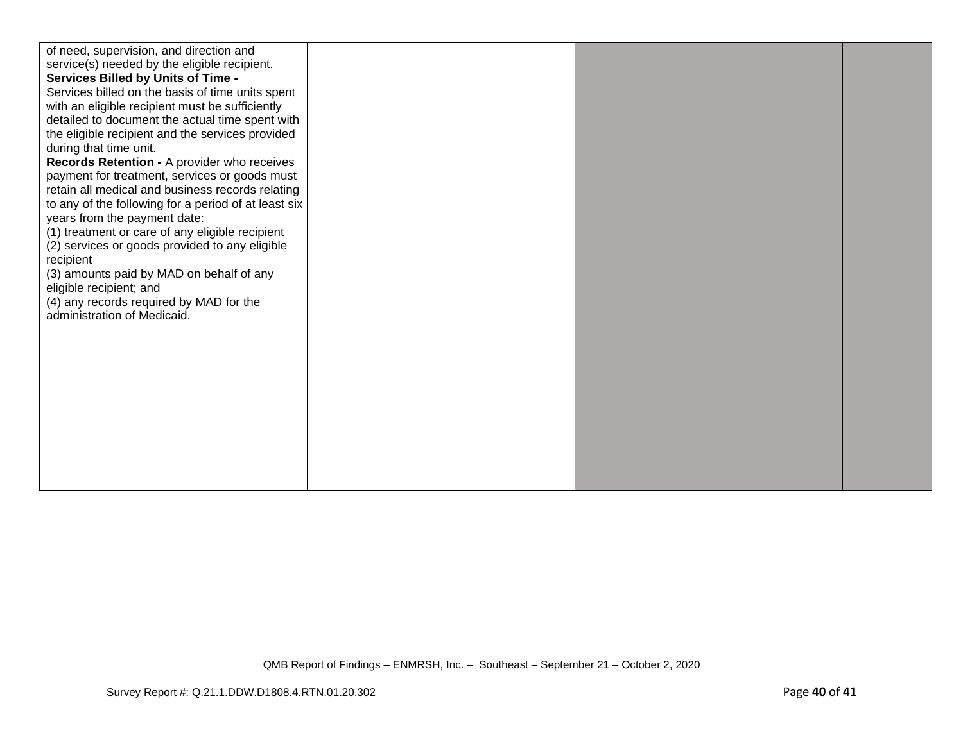| of need, supervision, and direction and<br>service(s) needed by the eligible recipient.<br>Services Billed by Units of Time -<br>Services billed on the basis of time units spent<br>with an eligible recipient must be sufficiently<br>detailed to document the actual time spent with<br>the eligible recipient and the services provided<br>during that time unit.<br>Records Retention - A provider who receives<br>payment for treatment, services or goods must<br>retain all medical and business records relating<br>to any of the following for a period of at least six<br>years from the payment date:<br>(1) treatment or care of any eligible recipient<br>(2) services or goods provided to any eligible<br>recipient<br>(3) amounts paid by MAD on behalf of any<br>eligible recipient; and<br>(4) any records required by MAD for the<br>administration of Medicaid. |  |  |  |
|--------------------------------------------------------------------------------------------------------------------------------------------------------------------------------------------------------------------------------------------------------------------------------------------------------------------------------------------------------------------------------------------------------------------------------------------------------------------------------------------------------------------------------------------------------------------------------------------------------------------------------------------------------------------------------------------------------------------------------------------------------------------------------------------------------------------------------------------------------------------------------------|--|--|--|
|--------------------------------------------------------------------------------------------------------------------------------------------------------------------------------------------------------------------------------------------------------------------------------------------------------------------------------------------------------------------------------------------------------------------------------------------------------------------------------------------------------------------------------------------------------------------------------------------------------------------------------------------------------------------------------------------------------------------------------------------------------------------------------------------------------------------------------------------------------------------------------------|--|--|--|